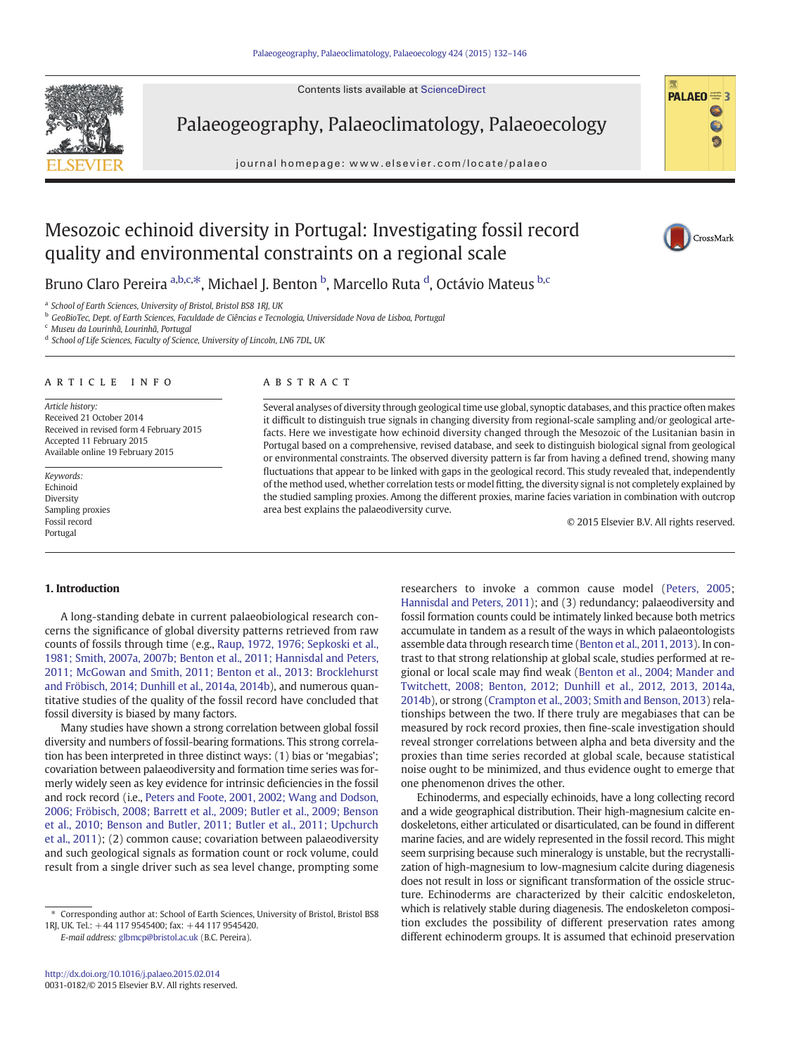Contents lists available at ScienceDirect



Palaeogeography, Palaeoclimatology, Palaeoecology

journal homepage:<www.elsevier.com/locate/palaeo>



# Mesozoic echinoid diversity in Portugal: Investigating fossil record quality and environmental constraints on a regional scale



Bruno Claro Pereira <sup>a,b,c,\*</sup>, Michael J. Benton <sup>b</sup>, Marcello Ruta <sup>d</sup>, Octávio Mateus <sup>b,c</sup>

<sup>a</sup> School of Earth Sciences, University of Bristol, Bristol BS8 1RJ, UK

<sup>b</sup> GeoBioTec, Dept. of Earth Sciences, Faculdade de Ciências e Tecnologia, Universidade Nova de Lisboa, Portugal

<sup>c</sup> Museu da Lourinhã, Lourinhã, Portugal

<sup>d</sup> School of Life Sciences, Faculty of Science, University of Lincoln, LN6 7DL, UK

#### article info abstract

Article history: Received 21 October 2014 Received in revised form 4 February 2015 Accepted 11 February 2015 Available online 19 February 2015

Keywords: Echinoid Diversity Sampling proxies Fossil record Portugal

Several analyses of diversity through geological time use global, synoptic databases, and this practice often makes it difficult to distinguish true signals in changing diversity from regional-scale sampling and/or geological artefacts. Here we investigate how echinoid diversity changed through the Mesozoic of the Lusitanian basin in Portugal based on a comprehensive, revised database, and seek to distinguish biological signal from geological or environmental constraints. The observed diversity pattern is far from having a defined trend, showing many fluctuations that appear to be linked with gaps in the geological record. This study revealed that, independently of the method used, whether correlation tests or model fitting, the diversity signal is not completely explained by the studied sampling proxies. Among the different proxies, marine facies variation in combination with outcrop area best explains the palaeodiversity curve.

© 2015 Elsevier B.V. All rights reserved.

# 1. Introduction

A long-standing debate in current palaeobiological research concerns the significance of global diversity patterns retrieved from raw counts of fossils through time (e.g., [Raup, 1972, 1976; Sepkoski et al.,](#page-14-0) [1981; Smith, 2007a, 2007b; Benton et al., 2011; Hannisdal and Peters,](#page-14-0) [2011; McGowan and Smith, 2011; Benton et al., 2013:](#page-14-0) [Brocklehurst](#page-13-0) [and Fröbisch, 2014; Dunhill et al., 2014a, 2014b\)](#page-13-0), and numerous quantitative studies of the quality of the fossil record have concluded that fossil diversity is biased by many factors.

Many studies have shown a strong correlation between global fossil diversity and numbers of fossil-bearing formations. This strong correlation has been interpreted in three distinct ways: (1) bias or 'megabias'; covariation between palaeodiversity and formation time series was formerly widely seen as key evidence for intrinsic deficiencies in the fossil and rock record (i.e., [Peters and Foote, 2001, 2002; Wang and Dodson,](#page-14-0) [2006; Fröbisch, 2008; Barrett et al., 2009; Butler et al., 2009; Benson](#page-14-0) [et al., 2010; Benson and Butler, 2011; Butler et al., 2011; Upchurch](#page-14-0) [et al., 2011](#page-14-0)); (2) common cause; covariation between palaeodiversity and such geological signals as formation count or rock volume, could result from a single driver such as sea level change, prompting some

E-mail address: [glbmcp@bristol.ac.uk](mailto:glbmcp@bristol.ac.uk) (B.C. Pereira).

researchers to invoke a common cause model [\(Peters, 2005](#page-14-0); [Hannisdal and Peters, 2011\)](#page-13-0); and (3) redundancy; palaeodiversity and fossil formation counts could be intimately linked because both metrics accumulate in tandem as a result of the ways in which palaeontologists assemble data through research time [\(Benton et al., 2011, 2013\)](#page-13-0). In contrast to that strong relationship at global scale, studies performed at regional or local scale may find weak [\(Benton et al., 2004; Mander and](#page-13-0) [Twitchett, 2008; Benton, 2012; Dunhill et al., 2012, 2013, 2014a,](#page-13-0) [2014b](#page-13-0)), or strong ([Crampton et al., 2003; Smith and Benson, 2013](#page-13-0)) relationships between the two. If there truly are megabiases that can be measured by rock record proxies, then fine-scale investigation should reveal stronger correlations between alpha and beta diversity and the proxies than time series recorded at global scale, because statistical noise ought to be minimized, and thus evidence ought to emerge that one phenomenon drives the other.

Echinoderms, and especially echinoids, have a long collecting record and a wide geographical distribution. Their high-magnesium calcite endoskeletons, either articulated or disarticulated, can be found in different marine facies, and are widely represented in the fossil record. This might seem surprising because such mineralogy is unstable, but the recrystallization of high-magnesium to low-magnesium calcite during diagenesis does not result in loss or significant transformation of the ossicle structure. Echinoderms are characterized by their calcitic endoskeleton, which is relatively stable during diagenesis. The endoskeleton composition excludes the possibility of different preservation rates among different echinoderm groups. It is assumed that echinoid preservation

<sup>⁎</sup> Corresponding author at: School of Earth Sciences, University of Bristol, Bristol BS8 1RJ, UK. Tel.: +44 117 9545400; fax: +44 117 9545420.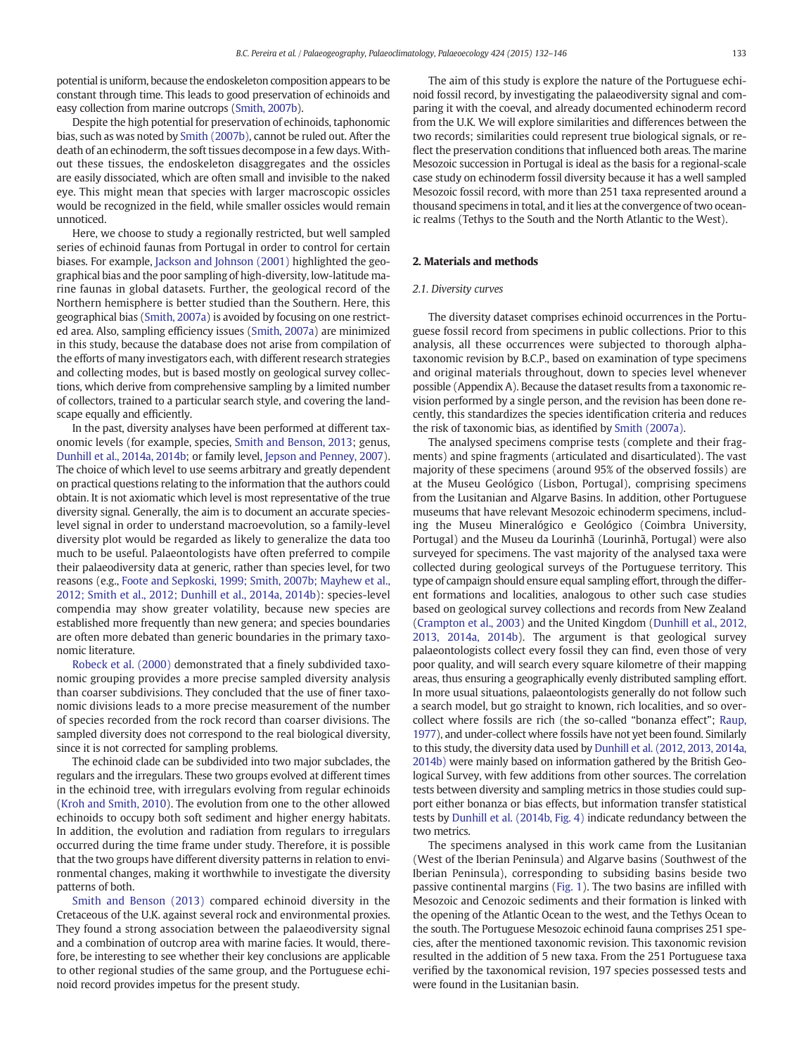potential is uniform, because the endoskeleton composition appears to be constant through time. This leads to good preservation of echinoids and easy collection from marine outcrops [\(Smith, 2007b](#page-14-0)).

Despite the high potential for preservation of echinoids, taphonomic bias, such as was noted by [Smith \(2007b\)](#page-14-0), cannot be ruled out. After the death of an echinoderm, the soft tissues decompose in a few days. Without these tissues, the endoskeleton disaggregates and the ossicles are easily dissociated, which are often small and invisible to the naked eye. This might mean that species with larger macroscopic ossicles would be recognized in the field, while smaller ossicles would remain unnoticed.

Here, we choose to study a regionally restricted, but well sampled series of echinoid faunas from Portugal in order to control for certain biases. For example, [Jackson and Johnson \(2001\)](#page-13-0) highlighted the geographical bias and the poor sampling of high-diversity, low-latitude marine faunas in global datasets. Further, the geological record of the Northern hemisphere is better studied than the Southern. Here, this geographical bias ([Smith, 2007a](#page-14-0)) is avoided by focusing on one restricted area. Also, sampling efficiency issues [\(Smith, 2007a](#page-14-0)) are minimized in this study, because the database does not arise from compilation of the efforts of many investigators each, with different research strategies and collecting modes, but is based mostly on geological survey collections, which derive from comprehensive sampling by a limited number of collectors, trained to a particular search style, and covering the landscape equally and efficiently.

In the past, diversity analyses have been performed at different taxonomic levels (for example, species, [Smith and Benson, 2013](#page-14-0); genus, [Dunhill et al., 2014a, 2014b;](#page-13-0) or family level, [Jepson and Penney, 2007](#page-13-0)). The choice of which level to use seems arbitrary and greatly dependent on practical questions relating to the information that the authors could obtain. It is not axiomatic which level is most representative of the true diversity signal. Generally, the aim is to document an accurate specieslevel signal in order to understand macroevolution, so a family-level diversity plot would be regarded as likely to generalize the data too much to be useful. Palaeontologists have often preferred to compile their palaeodiversity data at generic, rather than species level, for two reasons (e.g., [Foote and Sepkoski, 1999; Smith, 2007b; Mayhew et al.,](#page-13-0) [2012; Smith et al., 2012; Dunhill et al., 2014a, 2014b\)](#page-13-0): species-level compendia may show greater volatility, because new species are established more frequently than new genera; and species boundaries are often more debated than generic boundaries in the primary taxonomic literature.

[Robeck et al. \(2000\)](#page-14-0) demonstrated that a finely subdivided taxonomic grouping provides a more precise sampled diversity analysis than coarser subdivisions. They concluded that the use of finer taxonomic divisions leads to a more precise measurement of the number of species recorded from the rock record than coarser divisions. The sampled diversity does not correspond to the real biological diversity, since it is not corrected for sampling problems.

The echinoid clade can be subdivided into two major subclades, the regulars and the irregulars. These two groups evolved at different times in the echinoid tree, with irregulars evolving from regular echinoids [\(Kroh and Smith, 2010](#page-13-0)). The evolution from one to the other allowed echinoids to occupy both soft sediment and higher energy habitats. In addition, the evolution and radiation from regulars to irregulars occurred during the time frame under study. Therefore, it is possible that the two groups have different diversity patterns in relation to environmental changes, making it worthwhile to investigate the diversity patterns of both.

[Smith and Benson \(2013\)](#page-14-0) compared echinoid diversity in the Cretaceous of the U.K. against several rock and environmental proxies. They found a strong association between the palaeodiversity signal and a combination of outcrop area with marine facies. It would, therefore, be interesting to see whether their key conclusions are applicable to other regional studies of the same group, and the Portuguese echinoid record provides impetus for the present study.

The aim of this study is explore the nature of the Portuguese echinoid fossil record, by investigating the palaeodiversity signal and comparing it with the coeval, and already documented echinoderm record from the U.K. We will explore similarities and differences between the two records; similarities could represent true biological signals, or reflect the preservation conditions that influenced both areas. The marine Mesozoic succession in Portugal is ideal as the basis for a regional-scale case study on echinoderm fossil diversity because it has a well sampled Mesozoic fossil record, with more than 251 taxa represented around a thousand specimens in total, and it lies at the convergence of two oceanic realms (Tethys to the South and the North Atlantic to the West).

# 2. Materials and methods

# 2.1. Diversity curves

The diversity dataset comprises echinoid occurrences in the Portuguese fossil record from specimens in public collections. Prior to this analysis, all these occurrences were subjected to thorough alphataxonomic revision by B.C.P., based on examination of type specimens and original materials throughout, down to species level whenever possible (Appendix A). Because the dataset results from a taxonomic revision performed by a single person, and the revision has been done recently, this standardizes the species identification criteria and reduces the risk of taxonomic bias, as identified by [Smith \(2007a\)](#page-14-0).

The analysed specimens comprise tests (complete and their fragments) and spine fragments (articulated and disarticulated). The vast majority of these specimens (around 95% of the observed fossils) are at the Museu Geológico (Lisbon, Portugal), comprising specimens from the Lusitanian and Algarve Basins. In addition, other Portuguese museums that have relevant Mesozoic echinoderm specimens, including the Museu Mineralógico e Geológico (Coimbra University, Portugal) and the Museu da Lourinhã (Lourinhã, Portugal) were also surveyed for specimens. The vast majority of the analysed taxa were collected during geological surveys of the Portuguese territory. This type of campaign should ensure equal sampling effort, through the different formations and localities, analogous to other such case studies based on geological survey collections and records from New Zealand [\(Crampton et al., 2003](#page-13-0)) and the United Kingdom ([Dunhill et al., 2012,](#page-13-0) [2013, 2014a, 2014b\)](#page-13-0). The argument is that geological survey palaeontologists collect every fossil they can find, even those of very poor quality, and will search every square kilometre of their mapping areas, thus ensuring a geographically evenly distributed sampling effort. In more usual situations, palaeontologists generally do not follow such a search model, but go straight to known, rich localities, and so overcollect where fossils are rich (the so-called "bonanza effect"; [Raup,](#page-14-0) [1977\)](#page-14-0), and under-collect where fossils have not yet been found. Similarly to this study, the diversity data used by [Dunhill et al. \(2012, 2013, 2014a,](#page-13-0) [2014b\)](#page-13-0) were mainly based on information gathered by the British Geological Survey, with few additions from other sources. The correlation tests between diversity and sampling metrics in those studies could support either bonanza or bias effects, but information transfer statistical tests by [Dunhill et al. \(2014b, Fig. 4\)](#page-13-0) indicate redundancy between the two metrics.

The specimens analysed in this work came from the Lusitanian (West of the Iberian Peninsula) and Algarve basins (Southwest of the Iberian Peninsula), corresponding to subsiding basins beside two passive continental margins ([Fig. 1](#page-2-0)). The two basins are infilled with Mesozoic and Cenozoic sediments and their formation is linked with the opening of the Atlantic Ocean to the west, and the Tethys Ocean to the south. The Portuguese Mesozoic echinoid fauna comprises 251 species, after the mentioned taxonomic revision. This taxonomic revision resulted in the addition of 5 new taxa. From the 251 Portuguese taxa verified by the taxonomical revision, 197 species possessed tests and were found in the Lusitanian basin.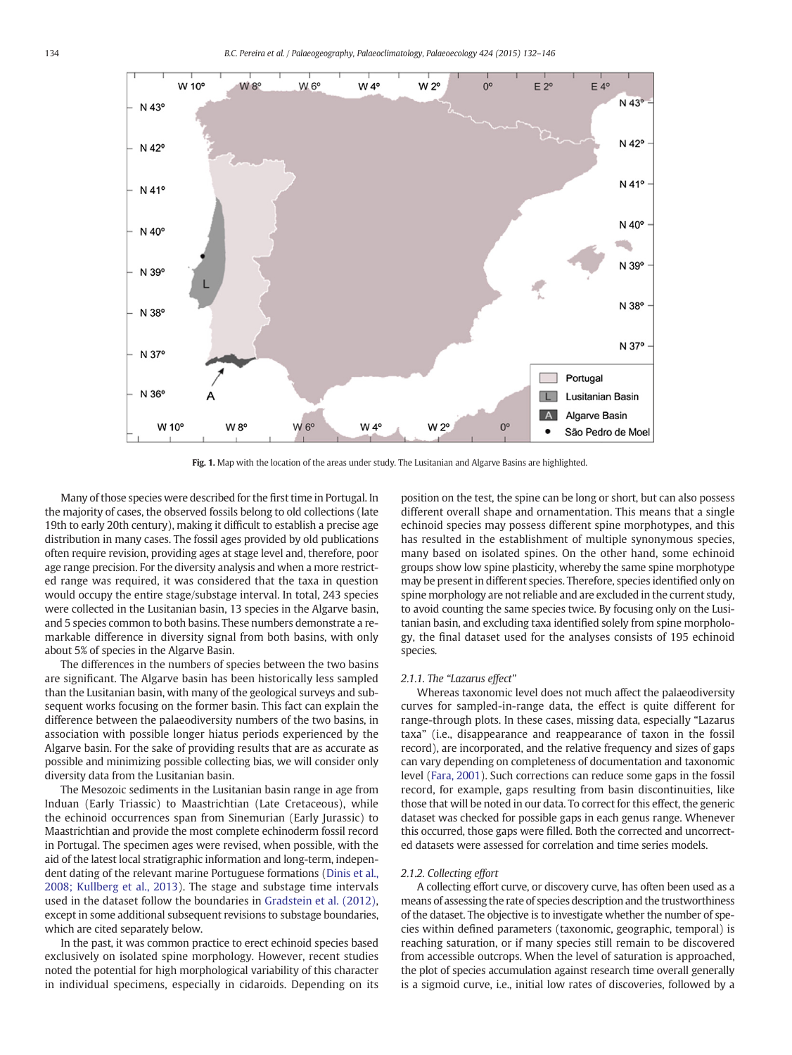<span id="page-2-0"></span>

Fig. 1. Map with the location of the areas under study. The Lusitanian and Algarve Basins are highlighted.

Many of those species were described for the first time in Portugal. In the majority of cases, the observed fossils belong to old collections (late 19th to early 20th century), making it difficult to establish a precise age distribution in many cases. The fossil ages provided by old publications often require revision, providing ages at stage level and, therefore, poor age range precision. For the diversity analysis and when a more restricted range was required, it was considered that the taxa in question would occupy the entire stage/substage interval. In total, 243 species were collected in the Lusitanian basin, 13 species in the Algarve basin, and 5 species common to both basins. These numbers demonstrate a remarkable difference in diversity signal from both basins, with only about 5% of species in the Algarve Basin.

The differences in the numbers of species between the two basins are significant. The Algarve basin has been historically less sampled than the Lusitanian basin, with many of the geological surveys and subsequent works focusing on the former basin. This fact can explain the difference between the palaeodiversity numbers of the two basins, in association with possible longer hiatus periods experienced by the Algarve basin. For the sake of providing results that are as accurate as possible and minimizing possible collecting bias, we will consider only diversity data from the Lusitanian basin.

The Mesozoic sediments in the Lusitanian basin range in age from Induan (Early Triassic) to Maastrichtian (Late Cretaceous), while the echinoid occurrences span from Sinemurian (Early Jurassic) to Maastrichtian and provide the most complete echinoderm fossil record in Portugal. The specimen ages were revised, when possible, with the aid of the latest local stratigraphic information and long-term, independent dating of the relevant marine Portuguese formations ([Dinis et al.,](#page-13-0) [2008; Kullberg et al., 2013\)](#page-13-0). The stage and substage time intervals used in the dataset follow the boundaries in [Gradstein et al. \(2012\),](#page-13-0) except in some additional subsequent revisions to substage boundaries, which are cited separately below.

In the past, it was common practice to erect echinoid species based exclusively on isolated spine morphology. However, recent studies noted the potential for high morphological variability of this character in individual specimens, especially in cidaroids. Depending on its position on the test, the spine can be long or short, but can also possess different overall shape and ornamentation. This means that a single echinoid species may possess different spine morphotypes, and this has resulted in the establishment of multiple synonymous species, many based on isolated spines. On the other hand, some echinoid groups show low spine plasticity, whereby the same spine morphotype may be present in different species. Therefore, species identified only on spine morphology are not reliable and are excluded in the current study, to avoid counting the same species twice. By focusing only on the Lusitanian basin, and excluding taxa identified solely from spine morphology, the final dataset used for the analyses consists of 195 echinoid species.

# 2.1.1. The "Lazarus effect"

Whereas taxonomic level does not much affect the palaeodiversity curves for sampled-in-range data, the effect is quite different for range-through plots. In these cases, missing data, especially "Lazarus taxa" (i.e., disappearance and reappearance of taxon in the fossil record), are incorporated, and the relative frequency and sizes of gaps can vary depending on completeness of documentation and taxonomic level [\(Fara, 2001](#page-13-0)). Such corrections can reduce some gaps in the fossil record, for example, gaps resulting from basin discontinuities, like those that will be noted in our data. To correct for this effect, the generic dataset was checked for possible gaps in each genus range. Whenever this occurred, those gaps were filled. Both the corrected and uncorrected datasets were assessed for correlation and time series models.

# 2.1.2. Collecting effort

A collecting effort curve, or discovery curve, has often been used as a means of assessing the rate of species description and the trustworthiness of the dataset. The objective is to investigate whether the number of species within defined parameters (taxonomic, geographic, temporal) is reaching saturation, or if many species still remain to be discovered from accessible outcrops. When the level of saturation is approached, the plot of species accumulation against research time overall generally is a sigmoid curve, i.e., initial low rates of discoveries, followed by a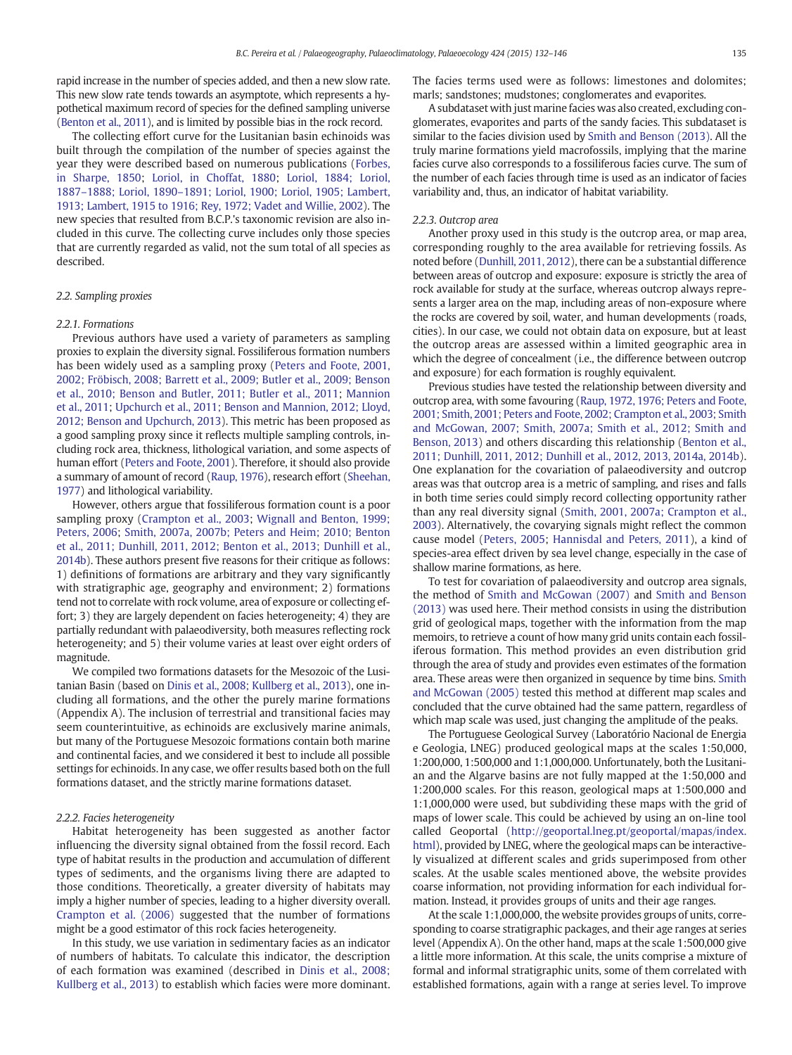rapid increase in the number of species added, and then a new slow rate. This new slow rate tends towards an asymptote, which represents a hypothetical maximum record of species for the defined sampling universe [\(Benton et al., 2011\)](#page-13-0), and is limited by possible bias in the rock record.

The collecting effort curve for the Lusitanian basin echinoids was built through the compilation of the number of species against the year they were described based on numerous publications ([Forbes,](#page-13-0) [in Sharpe, 1850](#page-13-0); [Loriol, in Choffat, 1880;](#page-14-0) [Loriol, 1884; Loriol,](#page-14-0) 1887–1888; Loriol, 1890–[1891; Loriol, 1900; Loriol, 1905; Lambert,](#page-14-0) [1913; Lambert, 1915 to 1916; Rey, 1972; Vadet and Willie, 2002\)](#page-14-0). The new species that resulted from B.C.P.'s taxonomic revision are also included in this curve. The collecting curve includes only those species that are currently regarded as valid, not the sum total of all species as described.

# 2.2. Sampling proxies

#### 2.2.1. Formations

Previous authors have used a variety of parameters as sampling proxies to explain the diversity signal. Fossiliferous formation numbers has been widely used as a sampling proxy ([Peters and Foote, 2001,](#page-14-0) [2002; Fröbisch, 2008; Barrett et al., 2009; Butler et al., 2009; Benson](#page-14-0) [et al., 2010; Benson and Butler, 2011; Butler et al., 2011;](#page-14-0) [Mannion](#page-14-0) [et al., 2011;](#page-14-0) [Upchurch et al., 2011; Benson and Mannion, 2012; Lloyd,](#page-14-0) [2012; Benson and Upchurch, 2013](#page-14-0)). This metric has been proposed as a good sampling proxy since it reflects multiple sampling controls, including rock area, thickness, lithological variation, and some aspects of human effort [\(Peters and Foote, 2001](#page-14-0)). Therefore, it should also provide a summary of amount of record ([Raup, 1976](#page-14-0)), research effort ([Sheehan,](#page-14-0) [1977](#page-14-0)) and lithological variability.

However, others argue that fossiliferous formation count is a poor sampling proxy ([Crampton et al., 2003;](#page-13-0) [Wignall and Benton, 1999;](#page-14-0) [Peters, 2006](#page-14-0); [Smith, 2007a, 2007b; Peters and Heim; 2010;](#page-14-0) [Benton](#page-13-0) [et al., 2011; Dunhill, 2011, 2012; Benton et al., 2013; Dunhill et al.,](#page-13-0) [2014b\)](#page-13-0). These authors present five reasons for their critique as follows: 1) definitions of formations are arbitrary and they vary significantly with stratigraphic age, geography and environment; 2) formations tend not to correlate with rock volume, area of exposure or collecting effort; 3) they are largely dependent on facies heterogeneity; 4) they are partially redundant with palaeodiversity, both measures reflecting rock heterogeneity; and 5) their volume varies at least over eight orders of magnitude.

We compiled two formations datasets for the Mesozoic of the Lusitanian Basin (based on [Dinis et al., 2008; Kullberg et al., 2013\)](#page-13-0), one including all formations, and the other the purely marine formations (Appendix A). The inclusion of terrestrial and transitional facies may seem counterintuitive, as echinoids are exclusively marine animals, but many of the Portuguese Mesozoic formations contain both marine and continental facies, and we considered it best to include all possible settings for echinoids. In any case, we offer results based both on the full formations dataset, and the strictly marine formations dataset.

#### 2.2.2. Facies heterogeneity

Habitat heterogeneity has been suggested as another factor influencing the diversity signal obtained from the fossil record. Each type of habitat results in the production and accumulation of different types of sediments, and the organisms living there are adapted to those conditions. Theoretically, a greater diversity of habitats may imply a higher number of species, leading to a higher diversity overall. [Crampton et al. \(2006\)](#page-13-0) suggested that the number of formations might be a good estimator of this rock facies heterogeneity.

In this study, we use variation in sedimentary facies as an indicator of numbers of habitats. To calculate this indicator, the description of each formation was examined (described in [Dinis et al., 2008;](#page-13-0) [Kullberg et al., 2013\)](#page-13-0) to establish which facies were more dominant. The facies terms used were as follows: limestones and dolomites; marls; sandstones; mudstones; conglomerates and evaporites.

A subdataset with just marine facies was also created, excluding conglomerates, evaporites and parts of the sandy facies. This subdataset is similar to the facies division used by [Smith and Benson \(2013\)](#page-14-0). All the truly marine formations yield macrofossils, implying that the marine facies curve also corresponds to a fossiliferous facies curve. The sum of the number of each facies through time is used as an indicator of facies variability and, thus, an indicator of habitat variability.

#### 2.2.3. Outcrop area

Another proxy used in this study is the outcrop area, or map area, corresponding roughly to the area available for retrieving fossils. As noted before [\(Dunhill, 2011, 2012\)](#page-13-0), there can be a substantial difference between areas of outcrop and exposure: exposure is strictly the area of rock available for study at the surface, whereas outcrop always represents a larger area on the map, including areas of non-exposure where the rocks are covered by soil, water, and human developments (roads, cities). In our case, we could not obtain data on exposure, but at least the outcrop areas are assessed within a limited geographic area in which the degree of concealment (i.e., the difference between outcrop and exposure) for each formation is roughly equivalent.

Previous studies have tested the relationship between diversity and outcrop area, with some favouring ([Raup, 1972, 1976; Peters and Foote,](#page-14-0) [2001; Smith, 2001; Peters and Foote, 2002; Crampton et al., 2003; Smith](#page-14-0) [and McGowan, 2007; Smith, 2007a; Smith et al., 2012; Smith and](#page-14-0) [Benson, 2013\)](#page-14-0) and others discarding this relationship ([Benton et al.,](#page-13-0) [2011; Dunhill, 2011, 2012; Dunhill et al., 2012, 2013, 2014a, 2014b](#page-13-0)). One explanation for the covariation of palaeodiversity and outcrop areas was that outcrop area is a metric of sampling, and rises and falls in both time series could simply record collecting opportunity rather than any real diversity signal [\(Smith, 2001, 2007a; Crampton et al.,](#page-14-0) [2003\)](#page-14-0). Alternatively, the covarying signals might reflect the common cause model ([Peters, 2005](#page-14-0); [Hannisdal and Peters, 2011](#page-13-0)), a kind of species-area effect driven by sea level change, especially in the case of shallow marine formations, as here.

To test for covariation of palaeodiversity and outcrop area signals, the method of [Smith and McGowan \(2007\)](#page-14-0) and [Smith and Benson](#page-14-0) [\(2013\)](#page-14-0) was used here. Their method consists in using the distribution grid of geological maps, together with the information from the map memoirs, to retrieve a count of how many grid units contain each fossiliferous formation. This method provides an even distribution grid through the area of study and provides even estimates of the formation area. These areas were then organized in sequence by time bins. [Smith](#page-14-0) [and McGowan \(2005\)](#page-14-0) tested this method at different map scales and concluded that the curve obtained had the same pattern, regardless of which map scale was used, just changing the amplitude of the peaks.

The Portuguese Geological Survey (Laboratório Nacional de Energia e Geologia, LNEG) produced geological maps at the scales 1:50,000, 1:200,000, 1:500,000 and 1:1,000,000. Unfortunately, both the Lusitanian and the Algarve basins are not fully mapped at the 1:50,000 and 1:200,000 scales. For this reason, geological maps at 1:500,000 and 1:1,000,000 were used, but subdividing these maps with the grid of maps of lower scale. This could be achieved by using an on-line tool called Geoportal [\(http://geoportal.lneg.pt/geoportal/mapas/index.](http://geoportal.lneg.pt/geoportal/mapas/index.html) [html](http://geoportal.lneg.pt/geoportal/mapas/index.html)), provided by LNEG, where the geological maps can be interactively visualized at different scales and grids superimposed from other scales. At the usable scales mentioned above, the website provides coarse information, not providing information for each individual formation. Instead, it provides groups of units and their age ranges.

At the scale 1:1,000,000, the website provides groups of units, corresponding to coarse stratigraphic packages, and their age ranges at series level (Appendix A). On the other hand, maps at the scale 1:500,000 give a little more information. At this scale, the units comprise a mixture of formal and informal stratigraphic units, some of them correlated with established formations, again with a range at series level. To improve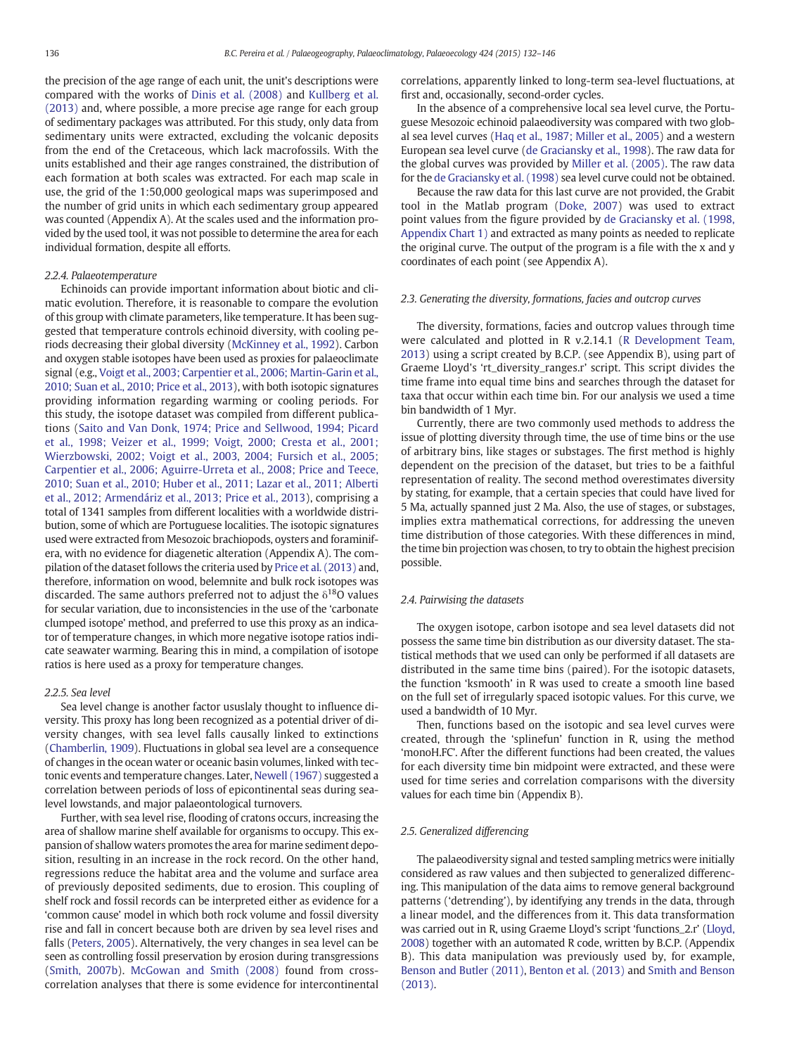the precision of the age range of each unit, the unit's descriptions were compared with the works of [Dinis et al. \(2008\)](#page-13-0) and [Kullberg et al.](#page-13-0) [\(2013\)](#page-13-0) and, where possible, a more precise age range for each group of sedimentary packages was attributed. For this study, only data from sedimentary units were extracted, excluding the volcanic deposits from the end of the Cretaceous, which lack macrofossils. With the units established and their age ranges constrained, the distribution of each formation at both scales was extracted. For each map scale in use, the grid of the 1:50,000 geological maps was superimposed and the number of grid units in which each sedimentary group appeared was counted (Appendix A). At the scales used and the information provided by the used tool, it was not possible to determine the area for each individual formation, despite all efforts.

#### 2.2.4. Palaeotemperature

Echinoids can provide important information about biotic and climatic evolution. Therefore, it is reasonable to compare the evolution of this group with climate parameters, like temperature. It has been suggested that temperature controls echinoid diversity, with cooling periods decreasing their global diversity [\(McKinney et al., 1992\)](#page-14-0). Carbon and oxygen stable isotopes have been used as proxies for palaeoclimate signal (e.g., [Voigt et al., 2003; Carpentier et al., 2006; Martin-Garin et al.,](#page-14-0) [2010; Suan et al., 2010; Price et al., 2013](#page-14-0)), with both isotopic signatures providing information regarding warming or cooling periods. For this study, the isotope dataset was compiled from different publications [\(Saito and Van Donk, 1974; Price and Sellwood, 1994; Picard](#page-14-0) [et al., 1998; Veizer et al., 1999; Voigt, 2000; Cresta et al., 2001;](#page-14-0) [Wierzbowski, 2002; Voigt et al., 2003, 2004; Fursich et al., 2005;](#page-14-0) [Carpentier et al., 2006; Aguirre-Urreta et al., 2008; Price and Teece,](#page-14-0) [2010; Suan et al., 2010; Huber et al., 2011; Lazar et al., 2011; Alberti](#page-14-0) [et al., 2012; Armendáriz et al., 2013; Price et al., 2013\)](#page-14-0), comprising a total of 1341 samples from different localities with a worldwide distribution, some of which are Portuguese localities. The isotopic signatures used were extracted from Mesozoic brachiopods, oysters and foraminifera, with no evidence for diagenetic alteration (Appendix A). The compilation of the dataset follows the criteria used by [Price et al. \(2013\)](#page-14-0) and, therefore, information on wood, belemnite and bulk rock isotopes was discarded. The same authors preferred not to adjust the  $\delta^{18}$ O values for secular variation, due to inconsistencies in the use of the 'carbonate clumped isotope' method, and preferred to use this proxy as an indicator of temperature changes, in which more negative isotope ratios indicate seawater warming. Bearing this in mind, a compilation of isotope ratios is here used as a proxy for temperature changes.

# 2.2.5. Sea level

Sea level change is another factor ususlaly thought to influence diversity. This proxy has long been recognized as a potential driver of diversity changes, with sea level falls causally linked to extinctions [\(Chamberlin, 1909\)](#page-13-0). Fluctuations in global sea level are a consequence of changes in the ocean water or oceanic basin volumes, linked with tectonic events and temperature changes. Later, [Newell \(1967\)](#page-14-0) suggested a correlation between periods of loss of epicontinental seas during sealevel lowstands, and major palaeontological turnovers.

Further, with sea level rise, flooding of cratons occurs, increasing the area of shallow marine shelf available for organisms to occupy. This expansion of shallow waters promotes the area for marine sediment deposition, resulting in an increase in the rock record. On the other hand, regressions reduce the habitat area and the volume and surface area of previously deposited sediments, due to erosion. This coupling of shelf rock and fossil records can be interpreted either as evidence for a 'common cause' model in which both rock volume and fossil diversity rise and fall in concert because both are driven by sea level rises and falls [\(Peters, 2005](#page-14-0)). Alternatively, the very changes in sea level can be seen as controlling fossil preservation by erosion during transgressions [\(Smith, 2007b](#page-14-0)). [McGowan and Smith \(2008\)](#page-14-0) found from crosscorrelation analyses that there is some evidence for intercontinental

correlations, apparently linked to long-term sea-level fluctuations, at first and, occasionally, second-order cycles.

In the absence of a comprehensive local sea level curve, the Portuguese Mesozoic echinoid palaeodiversity was compared with two global sea level curves [\(Haq et al., 1987; Miller et al., 2005](#page-13-0)) and a western European sea level curve ([de Graciansky et al., 1998\)](#page-13-0). The raw data for the global curves was provided by [Miller et al. \(2005\)](#page-14-0). The raw data for the [de Graciansky et al. \(1998\)](#page-13-0) sea level curve could not be obtained.

Because the raw data for this last curve are not provided, the Grabit tool in the Matlab program ([Doke, 2007\)](#page-13-0) was used to extract point values from the figure provided by [de Graciansky et al. \(1998,](#page-13-0) [Appendix Chart 1\)](#page-13-0) and extracted as many points as needed to replicate the original curve. The output of the program is a file with the x and y coordinates of each point (see Appendix A).

# 2.3. Generating the diversity, formations, facies and outcrop curves

The diversity, formations, facies and outcrop values through time were calculated and plotted in R v.2.14.1 ([R Development Team,](#page-14-0) [2013\)](#page-14-0) using a script created by B.C.P. (see Appendix B), using part of Graeme Lloyd's 'rt\_diversity\_ranges.r' script. This script divides the time frame into equal time bins and searches through the dataset for taxa that occur within each time bin. For our analysis we used a time bin bandwidth of 1 Myr.

Currently, there are two commonly used methods to address the issue of plotting diversity through time, the use of time bins or the use of arbitrary bins, like stages or substages. The first method is highly dependent on the precision of the dataset, but tries to be a faithful representation of reality. The second method overestimates diversity by stating, for example, that a certain species that could have lived for 5 Ma, actually spanned just 2 Ma. Also, the use of stages, or substages, implies extra mathematical corrections, for addressing the uneven time distribution of those categories. With these differences in mind, the time bin projection was chosen, to try to obtain the highest precision possible.

# 2.4. Pairwising the datasets

The oxygen isotope, carbon isotope and sea level datasets did not possess the same time bin distribution as our diversity dataset. The statistical methods that we used can only be performed if all datasets are distributed in the same time bins (paired). For the isotopic datasets, the function 'ksmooth' in R was used to create a smooth line based on the full set of irregularly spaced isotopic values. For this curve, we used a bandwidth of 10 Myr.

Then, functions based on the isotopic and sea level curves were created, through the 'splinefun' function in R, using the method 'monoH.FC'. After the different functions had been created, the values for each diversity time bin midpoint were extracted, and these were used for time series and correlation comparisons with the diversity values for each time bin (Appendix B).

# 2.5. Generalized differencing

The palaeodiversity signal and tested sampling metrics were initially considered as raw values and then subjected to generalized differencing. This manipulation of the data aims to remove general background patterns ('detrending'), by identifying any trends in the data, through a linear model, and the differences from it. This data transformation was carried out in R, using Graeme Lloyd's script 'functions\_2.r' ([Lloyd,](#page-14-0) [2008\)](#page-14-0) together with an automated R code, written by B.C.P. (Appendix B). This data manipulation was previously used by, for example, [Benson and Butler \(2011\)](#page-13-0), [Benton et al. \(2013\)](#page-13-0) and [Smith and Benson](#page-14-0) [\(2013\)](#page-14-0).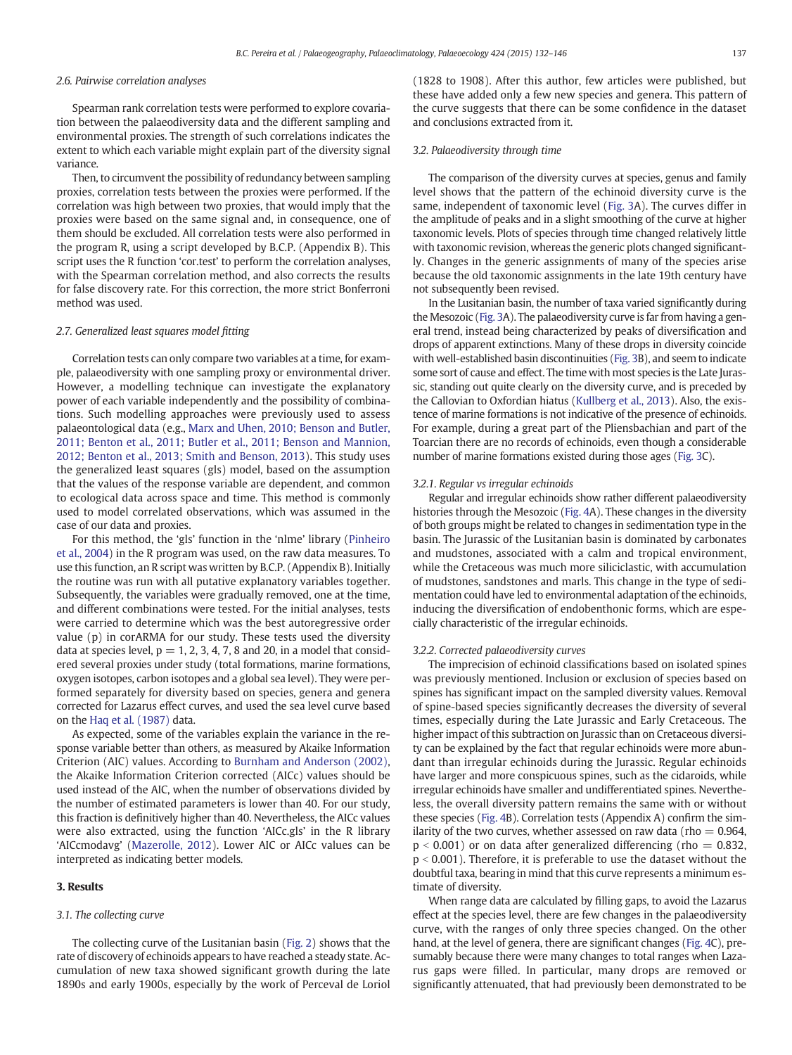# 2.6. Pairwise correlation analyses

Spearman rank correlation tests were performed to explore covariation between the palaeodiversity data and the different sampling and environmental proxies. The strength of such correlations indicates the extent to which each variable might explain part of the diversity signal variance.

Then, to circumvent the possibility of redundancy between sampling proxies, correlation tests between the proxies were performed. If the correlation was high between two proxies, that would imply that the proxies were based on the same signal and, in consequence, one of them should be excluded. All correlation tests were also performed in the program R, using a script developed by B.C.P. (Appendix B). This script uses the R function 'cor.test' to perform the correlation analyses, with the Spearman correlation method, and also corrects the results for false discovery rate. For this correction, the more strict Bonferroni method was used.

# 2.7. Generalized least squares model fitting

Correlation tests can only compare two variables at a time, for example, palaeodiversity with one sampling proxy or environmental driver. However, a modelling technique can investigate the explanatory power of each variable independently and the possibility of combinations. Such modelling approaches were previously used to assess palaeontological data (e.g., [Marx and Uhen, 2010; Benson and Butler,](#page-14-0) [2011; Benton et al., 2011; Butler et al., 2011; Benson and Mannion,](#page-14-0) [2012; Benton et al., 2013; Smith and Benson, 2013\)](#page-14-0). This study uses the generalized least squares (gls) model, based on the assumption that the values of the response variable are dependent, and common to ecological data across space and time. This method is commonly used to model correlated observations, which was assumed in the case of our data and proxies.

For this method, the 'gls' function in the 'nlme' library [\(Pinheiro](#page-14-0) [et al., 2004\)](#page-14-0) in the R program was used, on the raw data measures. To use this function, an R script was written by B.C.P. (Appendix B). Initially the routine was run with all putative explanatory variables together. Subsequently, the variables were gradually removed, one at the time, and different combinations were tested. For the initial analyses, tests were carried to determine which was the best autoregressive order value (p) in corARMA for our study. These tests used the diversity data at species level,  $p = 1, 2, 3, 4, 7, 8$  and 20, in a model that considered several proxies under study (total formations, marine formations, oxygen isotopes, carbon isotopes and a global sea level). They were performed separately for diversity based on species, genera and genera corrected for Lazarus effect curves, and used the sea level curve based on the [Haq et al. \(1987\)](#page-13-0) data.

As expected, some of the variables explain the variance in the response variable better than others, as measured by Akaike Information Criterion (AIC) values. According to [Burnham and Anderson \(2002\),](#page-13-0) the Akaike Information Criterion corrected (AICc) values should be used instead of the AIC, when the number of observations divided by the number of estimated parameters is lower than 40. For our study, this fraction is definitively higher than 40. Nevertheless, the AICc values were also extracted, using the function 'AICc.gls' in the R library 'AICcmodavg' [\(Mazerolle, 2012](#page-14-0)). Lower AIC or AICc values can be interpreted as indicating better models.

# 3. Results

# 3.1. The collecting curve

The collecting curve of the Lusitanian basin ([Fig. 2](#page-6-0)) shows that the rate of discovery of echinoids appears to have reached a steady state. Accumulation of new taxa showed significant growth during the late 1890s and early 1900s, especially by the work of Perceval de Loriol (1828 to 1908). After this author, few articles were published, but these have added only a few new species and genera. This pattern of the curve suggests that there can be some confidence in the dataset and conclusions extracted from it.

# 3.2. Palaeodiversity through time

The comparison of the diversity curves at species, genus and family level shows that the pattern of the echinoid diversity curve is the same, independent of taxonomic level [\(Fig. 3A](#page-6-0)). The curves differ in the amplitude of peaks and in a slight smoothing of the curve at higher taxonomic levels. Plots of species through time changed relatively little with taxonomic revision, whereas the generic plots changed significantly. Changes in the generic assignments of many of the species arise because the old taxonomic assignments in the late 19th century have not subsequently been revised.

In the Lusitanian basin, the number of taxa varied significantly during the Mesozoic ([Fig. 3](#page-6-0)A). The palaeodiversity curve is far from having a general trend, instead being characterized by peaks of diversification and drops of apparent extinctions. Many of these drops in diversity coincide with well-established basin discontinuities [\(Fig. 3B](#page-6-0)), and seem to indicate some sort of cause and effect. The time with most species is the Late Jurassic, standing out quite clearly on the diversity curve, and is preceded by the Callovian to Oxfordian hiatus [\(Kullberg et al., 2013](#page-13-0)). Also, the existence of marine formations is not indicative of the presence of echinoids. For example, during a great part of the Pliensbachian and part of the Toarcian there are no records of echinoids, even though a considerable number of marine formations existed during those ages [\(Fig. 3](#page-6-0)C).

# 3.2.1. Regular vs irregular echinoids

Regular and irregular echinoids show rather different palaeodiversity histories through the Mesozoic [\(Fig. 4](#page-7-0)A). These changes in the diversity of both groups might be related to changes in sedimentation type in the basin. The Jurassic of the Lusitanian basin is dominated by carbonates and mudstones, associated with a calm and tropical environment, while the Cretaceous was much more siliciclastic, with accumulation of mudstones, sandstones and marls. This change in the type of sedimentation could have led to environmental adaptation of the echinoids, inducing the diversification of endobenthonic forms, which are especially characteristic of the irregular echinoids.

#### 3.2.2. Corrected palaeodiversity curves

The imprecision of echinoid classifications based on isolated spines was previously mentioned. Inclusion or exclusion of species based on spines has significant impact on the sampled diversity values. Removal of spine-based species significantly decreases the diversity of several times, especially during the Late Jurassic and Early Cretaceous. The higher impact of this subtraction on Jurassic than on Cretaceous diversity can be explained by the fact that regular echinoids were more abundant than irregular echinoids during the Jurassic. Regular echinoids have larger and more conspicuous spines, such as the cidaroids, while irregular echinoids have smaller and undifferentiated spines. Nevertheless, the overall diversity pattern remains the same with or without these species [\(Fig. 4B](#page-7-0)). Correlation tests (Appendix A) confirm the similarity of the two curves, whether assessed on raw data (rho  $= 0.964$ ,  $p < 0.001$ ) or on data after generalized differencing (rho  $= 0.832$ ,  $p < 0.001$ ). Therefore, it is preferable to use the dataset without the doubtful taxa, bearing in mind that this curve represents a minimum estimate of diversity.

When range data are calculated by filling gaps, to avoid the Lazarus effect at the species level, there are few changes in the palaeodiversity curve, with the ranges of only three species changed. On the other hand, at the level of genera, there are significant changes [\(Fig. 4C](#page-7-0)), presumably because there were many changes to total ranges when Lazarus gaps were filled. In particular, many drops are removed or significantly attenuated, that had previously been demonstrated to be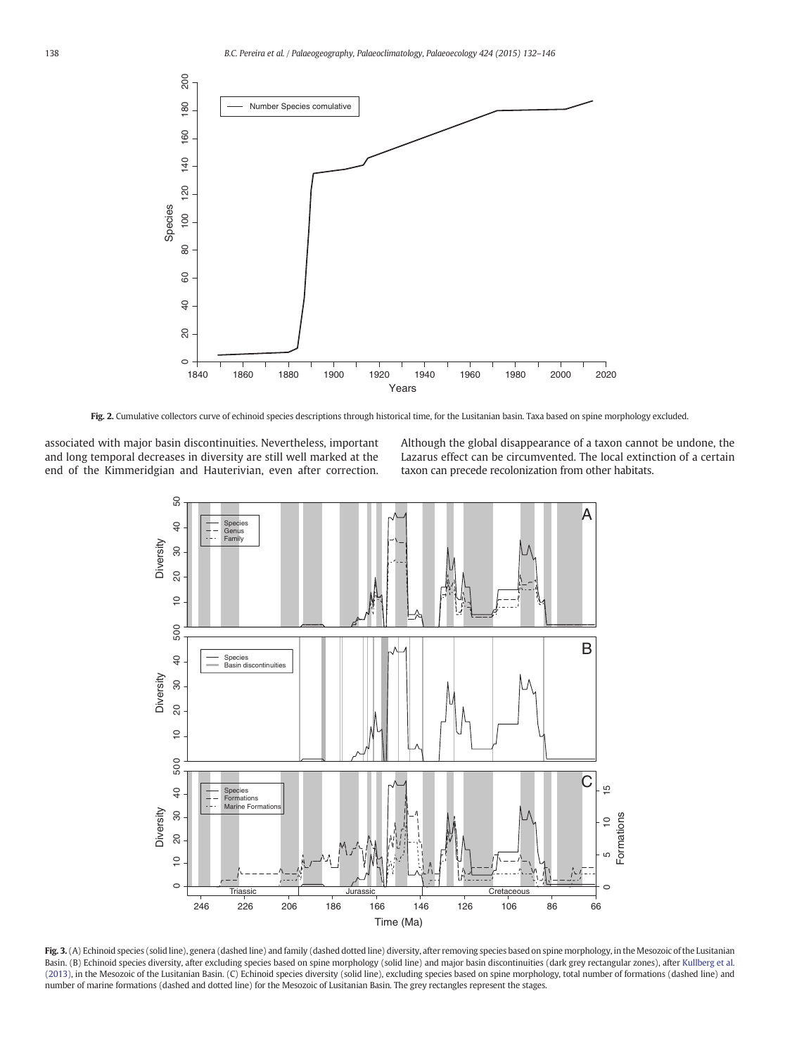<span id="page-6-0"></span>

Fig. 2. Cumulative collectors curve of echinoid species descriptions through historical time, for the Lusitanian basin. Taxa based on spine morphology excluded.

associated with major basin discontinuities. Nevertheless, important and long temporal decreases in diversity are still well marked at the end of the Kimmeridgian and Hauterivian, even after correction.

Although the global disappearance of a taxon cannot be undone, the Lazarus effect can be circumvented. The local extinction of a certain taxon can precede recolonization from other habitats.



Fig. 3. (A) Echinoid species (solid line), genera (dashed line) and family (dashed dotted line) diversity, after removing species based on spine morphology, in the Mesozoic of the Lusitanian Basin. (B) Echinoid species diversity, after excluding species based on spine morphology (solid line) and major basin discontinuities (dark grey rectangular zones), after [Kullberg et al.](#page-13-0) [\(2013\)](#page-13-0), in the Mesozoic of the Lusitanian Basin. (C) Echinoid species diversity (solid line), excluding species based on spine morphology, total number of formations (dashed line) and number of marine formations (dashed and dotted line) for the Mesozoic of Lusitanian Basin. The grey rectangles represent the stages.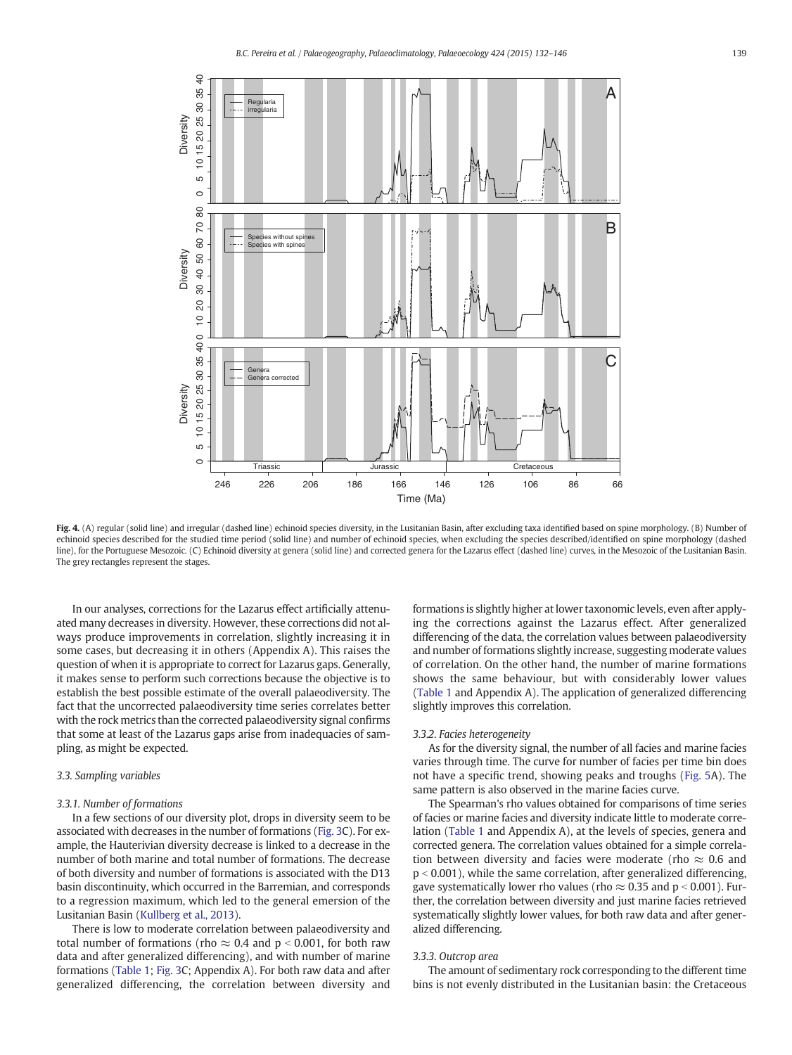<span id="page-7-0"></span>

Fig. 4. (A) regular (solid line) and irregular (dashed line) echinoid species diversity, in the Lusitanian Basin, after excluding taxa identified based on spine morphology. (B) Number of echinoid species described for the studied time period (solid line) and number of echinoid species, when excluding the species described/identified on spine morphology (dashed line), for the Portuguese Mesozoic. (C) Echinoid diversity at genera (solid line) and corrected genera for the Lazarus effect (dashed line) curves, in the Mesozoic of the Lusitanian Basin. The grey rectangles represent the stages.

In our analyses, corrections for the Lazarus effect artificially attenuated many decreases in diversity. However, these corrections did not always produce improvements in correlation, slightly increasing it in some cases, but decreasing it in others (Appendix A). This raises the question of when it is appropriate to correct for Lazarus gaps. Generally, it makes sense to perform such corrections because the objective is to establish the best possible estimate of the overall palaeodiversity. The fact that the uncorrected palaeodiversity time series correlates better with the rock metrics than the corrected palaeodiversity signal confirms that some at least of the Lazarus gaps arise from inadequacies of sampling, as might be expected.

# 3.3. Sampling variables

#### 3.3.1. Number of formations

In a few sections of our diversity plot, drops in diversity seem to be associated with decreases in the number of formations [\(Fig. 3](#page-6-0)C). For example, the Hauterivian diversity decrease is linked to a decrease in the number of both marine and total number of formations. The decrease of both diversity and number of formations is associated with the D13 basin discontinuity, which occurred in the Barremian, and corresponds to a regression maximum, which led to the general emersion of the Lusitanian Basin ([Kullberg et al., 2013](#page-13-0)).

There is low to moderate correlation between palaeodiversity and total number of formations (rho  $\approx 0.4$  and p < 0.001, for both raw data and after generalized differencing), and with number of marine formations [\(Table 1;](#page-8-0) [Fig. 3C](#page-6-0); Appendix A). For both raw data and after generalized differencing, the correlation between diversity and formations is slightly higher at lower taxonomic levels, even after applying the corrections against the Lazarus effect. After generalized differencing of the data, the correlation values between palaeodiversity and number of formations slightly increase, suggesting moderate values of correlation. On the other hand, the number of marine formations shows the same behaviour, but with considerably lower values [\(Table 1](#page-8-0) and Appendix A). The application of generalized differencing slightly improves this correlation.

# 3.3.2. Facies heterogeneity

As for the diversity signal, the number of all facies and marine facies varies through time. The curve for number of facies per time bin does not have a specific trend, showing peaks and troughs ([Fig. 5A](#page-8-0)). The same pattern is also observed in the marine facies curve.

The Spearman's rho values obtained for comparisons of time series of facies or marine facies and diversity indicate little to moderate correlation ([Table 1](#page-8-0) and Appendix A), at the levels of species, genera and corrected genera. The correlation values obtained for a simple correlation between diversity and facies were moderate (rho  $\approx$  0.6 and  $p < 0.001$ ), while the same correlation, after generalized differencing, gave systematically lower rho values (rho  $\approx 0.35$  and p < 0.001). Further, the correlation between diversity and just marine facies retrieved systematically slightly lower values, for both raw data and after generalized differencing.

#### 3.3.3. Outcrop area

The amount of sedimentary rock corresponding to the different time bins is not evenly distributed in the Lusitanian basin: the Cretaceous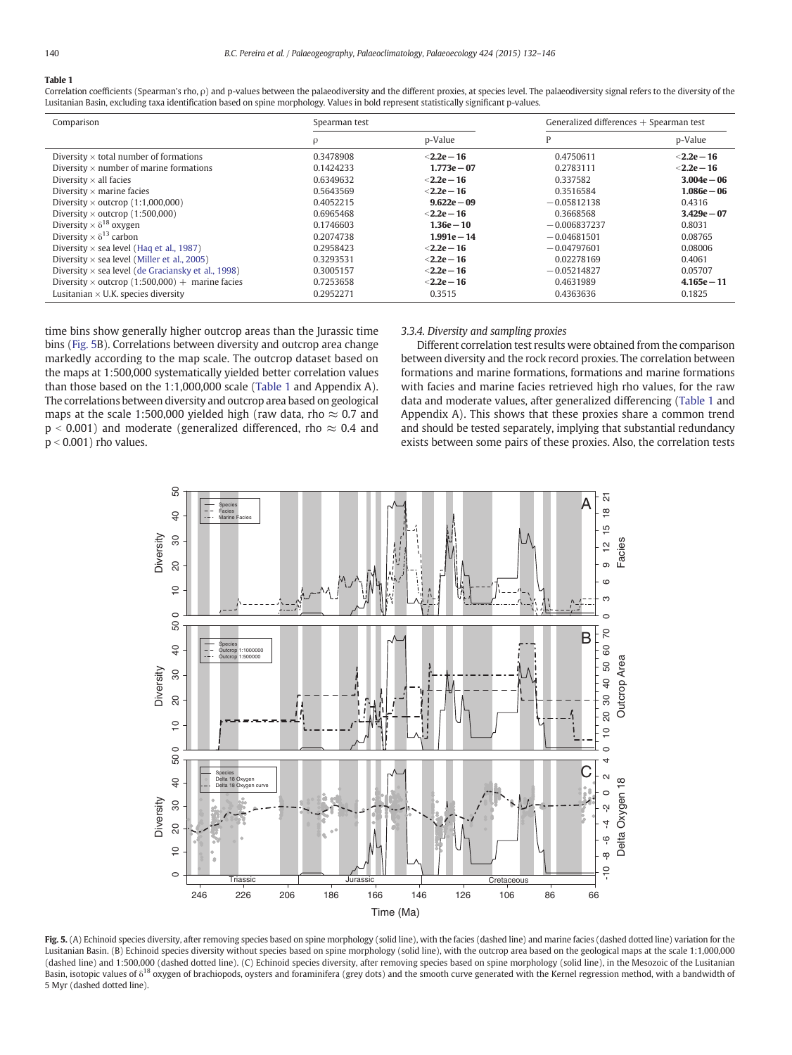# <span id="page-8-0"></span>Table 1

Correlation coefficients (Spearman's rho, ρ) and p-values between the palaeodiversity and the different proxies, at species level. The palaeodiversity signal refers to the diversity of the Lusitanian Basin, excluding taxa identification based on spine morphology. Values in bold represent statistically significant p-values.

| Comparison                                                | Spearman test |                | Generalized differences $+$ Spearman test |               |
|-----------------------------------------------------------|---------------|----------------|-------------------------------------------|---------------|
|                                                           |               | p-Value        |                                           | p-Value       |
| Diversity $\times$ total number of formations             | 0.3478908     | $<$ 2.2e – 16  | 0.4750611                                 | $<$ 2.2e – 16 |
| Diversity $\times$ number of marine formations            | 0.1424233     | $1.773e - 07$  | 0.2783111                                 | $<$ 2.2e – 16 |
| Diversity $\times$ all facies                             | 0.6349632     | $<$ 2.2e - 16  | 0.337582                                  | $3.004e - 06$ |
| Diversity $\times$ marine facies                          | 0.5643569     | $<$ 2.2e - 16  | 0.3516584                                 | $1.086e - 06$ |
| Diversity $\times$ outcrop (1:1,000,000)                  | 0.4052215     | $9.622e - 09$  | $-0.05812138$                             | 0.4316        |
| Diversity $\times$ outcrop (1:500,000)                    | 0.6965468     | $<$ 2.2e - 16  | 0.3668568                                 | $3.429e - 07$ |
| Diversity $\times$ $\delta^{18}$ oxygen                   | 0.1746603     | $1.36e - 10$   | $-0.006837237$                            | 0.8031        |
| Diversity $\times$ $\delta$ <sup>13</sup> carbon          | 0.2074738     | $1.991e - 14$  | $-0.04681501$                             | 0.08765       |
| Diversity $\times$ sea level (Hag et al., 1987)           | 0.2958423     | $<$ 2.2e - 16  | $-0.04797601$                             | 0.08006       |
| Diversity $\times$ sea level (Miller et al., 2005)        | 0.3293531     | $<$ 2.2e - 16  | 0.02278169                                | 0.4061        |
| Diversity $\times$ sea level (de Graciansky et al., 1998) | 0.3005157     | $<$ 2.2e $-16$ | $-0.05214827$                             | 0.05707       |
| Diversity $\times$ outcrop (1:500,000) + marine facies    | 0.7253658     | $<$ 2.2e - 16  | 0.4631989                                 | $4.165e - 11$ |
| Lusitanian $\times$ U.K. species diversity                | 0.2952271     | 0.3515         | 0.4363636                                 | 0.1825        |

time bins show generally higher outcrop areas than the Jurassic time bins (Fig. 5B). Correlations between diversity and outcrop area change markedly according to the map scale. The outcrop dataset based on the maps at 1:500,000 systematically yielded better correlation values than those based on the 1:1,000,000 scale (Table 1 and Appendix A). The correlations between diversity and outcrop area based on geological maps at the scale 1:500,000 yielded high (raw data, rho  $\approx$  0.7 and  $p < 0.001$ ) and moderate (generalized differenced, rho  $\approx 0.4$  and  $p < 0.001$ ) rho values.

# 3.3.4. Diversity and sampling proxies

Different correlation test results were obtained from the comparison between diversity and the rock record proxies. The correlation between formations and marine formations, formations and marine formations with facies and marine facies retrieved high rho values, for the raw data and moderate values, after generalized differencing (Table 1 and Appendix A). This shows that these proxies share a common trend and should be tested separately, implying that substantial redundancy exists between some pairs of these proxies. Also, the correlation tests



Fig. 5. (A) Echinoid species diversity, after removing species based on spine morphology (solid line), with the facies (dashed line) and marine facies (dashed dotted line) variation for the Lusitanian Basin. (B) Echinoid species diversity without species based on spine morphology (solid line), with the outcrop area based on the geological maps at the scale 1:1,000,000 (dashed line) and 1:500,000 (dashed dotted line). (C) Echinoid species diversity, after removing species based on spine morphology (solid line), in the Mesozoic of the Lusitanian Basin, isotopic values of  $\delta^{18}$  oxygen of brachiopods, oysters and foraminifera (grey dots) and the smooth curve generated with the Kernel regression method, with a bandwidth of 5 Myr (dashed dotted line).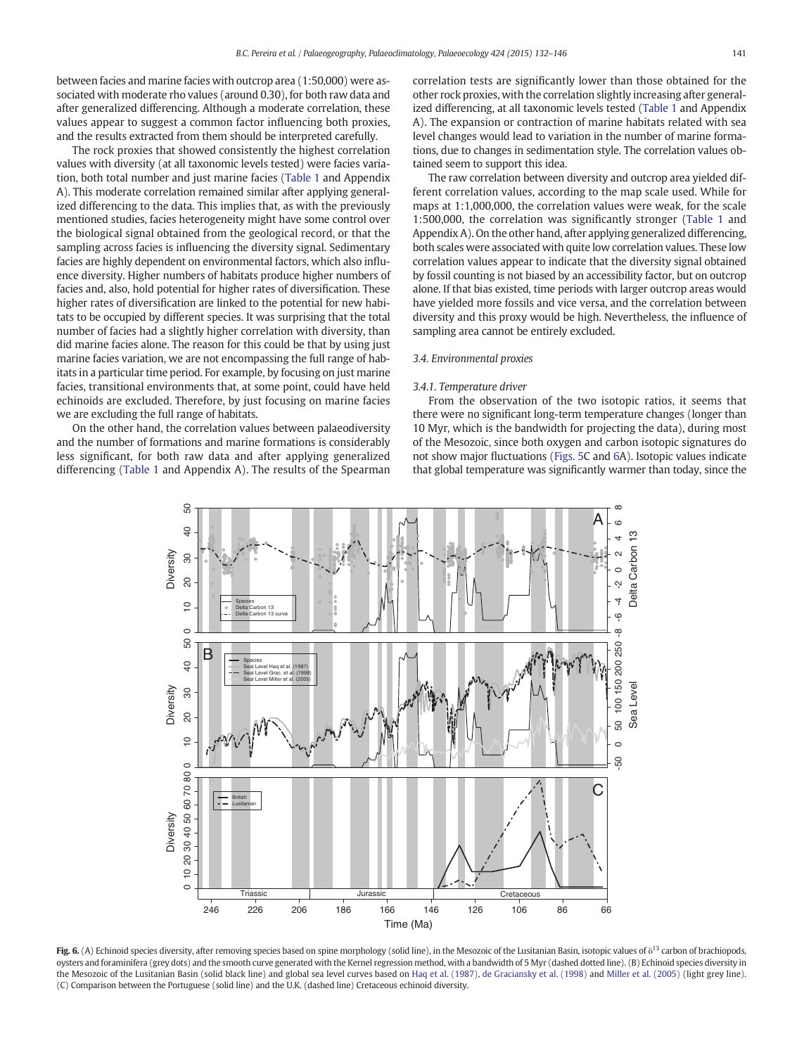<span id="page-9-0"></span>between facies and marine facies with outcrop area (1:50,000) were associated with moderate rho values (around 0.30), for both raw data and after generalized differencing. Although a moderate correlation, these values appear to suggest a common factor influencing both proxies, and the results extracted from them should be interpreted carefully.

The rock proxies that showed consistently the highest correlation values with diversity (at all taxonomic levels tested) were facies variation, both total number and just marine facies ([Table 1](#page-8-0) and Appendix A). This moderate correlation remained similar after applying generalized differencing to the data. This implies that, as with the previously mentioned studies, facies heterogeneity might have some control over the biological signal obtained from the geological record, or that the sampling across facies is influencing the diversity signal. Sedimentary facies are highly dependent on environmental factors, which also influence diversity. Higher numbers of habitats produce higher numbers of facies and, also, hold potential for higher rates of diversification. These higher rates of diversification are linked to the potential for new habitats to be occupied by different species. It was surprising that the total number of facies had a slightly higher correlation with diversity, than did marine facies alone. The reason for this could be that by using just marine facies variation, we are not encompassing the full range of habitats in a particular time period. For example, by focusing on just marine facies, transitional environments that, at some point, could have held echinoids are excluded. Therefore, by just focusing on marine facies we are excluding the full range of habitats.

On the other hand, the correlation values between palaeodiversity and the number of formations and marine formations is considerably less significant, for both raw data and after applying generalized differencing ([Table 1](#page-8-0) and Appendix A). The results of the Spearman correlation tests are significantly lower than those obtained for the other rock proxies, with the correlation slightly increasing after generalized differencing, at all taxonomic levels tested ([Table 1](#page-8-0) and Appendix A). The expansion or contraction of marine habitats related with sea level changes would lead to variation in the number of marine formations, due to changes in sedimentation style. The correlation values obtained seem to support this idea.

The raw correlation between diversity and outcrop area yielded different correlation values, according to the map scale used. While for maps at 1:1,000,000, the correlation values were weak, for the scale 1:500,000, the correlation was significantly stronger ([Table 1](#page-8-0) and Appendix A). On the other hand, after applying generalized differencing, both scales were associated with quite low correlation values. These low correlation values appear to indicate that the diversity signal obtained by fossil counting is not biased by an accessibility factor, but on outcrop alone. If that bias existed, time periods with larger outcrop areas would have yielded more fossils and vice versa, and the correlation between diversity and this proxy would be high. Nevertheless, the influence of sampling area cannot be entirely excluded.

# 3.4. Environmental proxies

#### 3.4.1. Temperature driver

From the observation of the two isotopic ratios, it seems that there were no significant long-term temperature changes (longer than 10 Myr, which is the bandwidth for projecting the data), during most of the Mesozoic, since both oxygen and carbon isotopic signatures do not show major fluctuations [\(Figs. 5](#page-8-0)C and 6A). Isotopic values indicate that global temperature was significantly warmer than today, since the



Fig. 6. (A) Echinoid species diversity, after removing species based on spine morphology (solid line), in the Mesozoic of the Lusitanian Basin, isotopic values of  $\delta^{13}$  carbon of brachiopods, oysters and foraminifera (grey dots) and the smooth curve generated with the Kernel regression method, with a bandwidth of 5 Myr (dashed dotted line). (B) Echinoid species diversity in the Mesozoic of the Lusitanian Basin (solid black line) and global sea level curves based on [Haq et al. \(1987\),](#page-13-0) [de Graciansky et al. \(1998\)](#page-13-0) and [Miller et al. \(2005\)](#page-14-0) (light grey line). (C) Comparison between the Portuguese (solid line) and the U.K. (dashed line) Cretaceous echinoid diversity.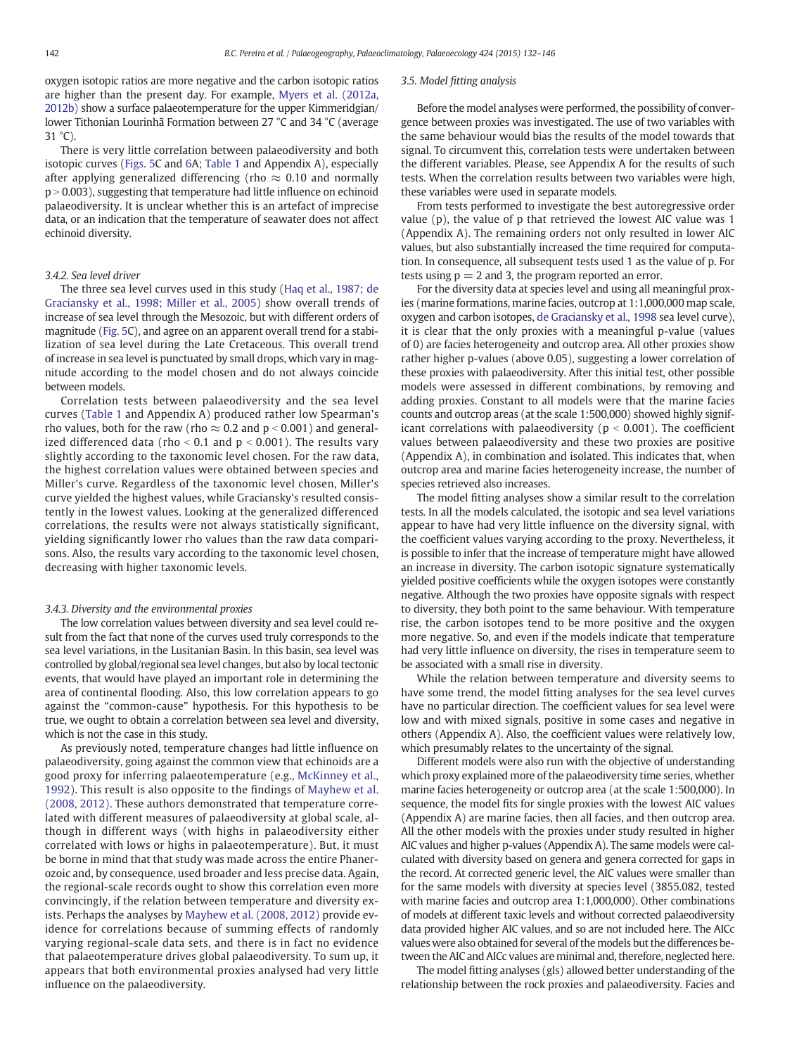oxygen isotopic ratios are more negative and the carbon isotopic ratios are higher than the present day. For example, [Myers et al. \(2012a,](#page-14-0) [2012b\)](#page-14-0) show a surface palaeotemperature for the upper Kimmeridgian/ lower Tithonian Lourinhã Formation between 27 °C and 34 °C (average  $31 \degree C$ ).

There is very little correlation between palaeodiversity and both isotopic curves ([Figs. 5C](#page-8-0) and [6](#page-9-0)A; [Table 1](#page-8-0) and Appendix A), especially after applying generalized differencing (rho  $\approx$  0.10 and normally  $p > 0.003$ ), suggesting that temperature had little influence on echinoid palaeodiversity. It is unclear whether this is an artefact of imprecise data, or an indication that the temperature of seawater does not affect echinoid diversity.

# 3.4.2. Sea level driver

The three sea level curves used in this study ([Haq et al., 1987; de](#page-13-0) [Graciansky et al., 1998; Miller et al., 2005\)](#page-13-0) show overall trends of increase of sea level through the Mesozoic, but with different orders of magnitude [\(Fig. 5C](#page-8-0)), and agree on an apparent overall trend for a stabilization of sea level during the Late Cretaceous. This overall trend of increase in sea level is punctuated by small drops, which vary in magnitude according to the model chosen and do not always coincide between models.

Correlation tests between palaeodiversity and the sea level curves ([Table 1](#page-8-0) and Appendix A) produced rather low Spearman's rho values, both for the raw (rho  $\approx 0.2$  and p < 0.001) and generalized differenced data (rho  $\le$  0.1 and p  $\le$  0.001). The results vary slightly according to the taxonomic level chosen. For the raw data, the highest correlation values were obtained between species and Miller's curve. Regardless of the taxonomic level chosen, Miller's curve yielded the highest values, while Graciansky's resulted consistently in the lowest values. Looking at the generalized differenced correlations, the results were not always statistically significant, yielding significantly lower rho values than the raw data comparisons. Also, the results vary according to the taxonomic level chosen, decreasing with higher taxonomic levels.

#### 3.4.3. Diversity and the environmental proxies

The low correlation values between diversity and sea level could result from the fact that none of the curves used truly corresponds to the sea level variations, in the Lusitanian Basin. In this basin, sea level was controlled by global/regional sea level changes, but also by local tectonic events, that would have played an important role in determining the area of continental flooding. Also, this low correlation appears to go against the "common-cause" hypothesis. For this hypothesis to be true, we ought to obtain a correlation between sea level and diversity, which is not the case in this study.

As previously noted, temperature changes had little influence on palaeodiversity, going against the common view that echinoids are a good proxy for inferring palaeotemperature (e.g., [McKinney et al.,](#page-14-0) [1992\)](#page-14-0). This result is also opposite to the findings of [Mayhew et al.](#page-14-0) [\(2008, 2012\).](#page-14-0) These authors demonstrated that temperature correlated with different measures of palaeodiversity at global scale, although in different ways (with highs in palaeodiversity either correlated with lows or highs in palaeotemperature). But, it must be borne in mind that that study was made across the entire Phanerozoic and, by consequence, used broader and less precise data. Again, the regional-scale records ought to show this correlation even more convincingly, if the relation between temperature and diversity exists. Perhaps the analyses by [Mayhew et al. \(2008, 2012\)](#page-14-0) provide evidence for correlations because of summing effects of randomly varying regional-scale data sets, and there is in fact no evidence that palaeotemperature drives global palaeodiversity. To sum up, it appears that both environmental proxies analysed had very little influence on the palaeodiversity.

# 3.5. Model fitting analysis

Before the model analyses were performed, the possibility of convergence between proxies was investigated. The use of two variables with the same behaviour would bias the results of the model towards that signal. To circumvent this, correlation tests were undertaken between the different variables. Please, see Appendix A for the results of such tests. When the correlation results between two variables were high, these variables were used in separate models.

From tests performed to investigate the best autoregressive order value (p), the value of p that retrieved the lowest AIC value was 1 (Appendix A). The remaining orders not only resulted in lower AIC values, but also substantially increased the time required for computation. In consequence, all subsequent tests used 1 as the value of p. For tests using  $p = 2$  and 3, the program reported an error.

For the diversity data at species level and using all meaningful proxies (marine formations, marine facies, outcrop at 1:1,000,000 map scale, oxygen and carbon isotopes, [de Graciansky et al., 1998](#page-13-0) sea level curve), it is clear that the only proxies with a meaningful p-value (values of 0) are facies heterogeneity and outcrop area. All other proxies show rather higher p-values (above 0.05), suggesting a lower correlation of these proxies with palaeodiversity. After this initial test, other possible models were assessed in different combinations, by removing and adding proxies. Constant to all models were that the marine facies counts and outcrop areas (at the scale 1:500,000) showed highly significant correlations with palaeodiversity ( $p < 0.001$ ). The coefficient values between palaeodiversity and these two proxies are positive (Appendix A), in combination and isolated. This indicates that, when outcrop area and marine facies heterogeneity increase, the number of species retrieved also increases.

The model fitting analyses show a similar result to the correlation tests. In all the models calculated, the isotopic and sea level variations appear to have had very little influence on the diversity signal, with the coefficient values varying according to the proxy. Nevertheless, it is possible to infer that the increase of temperature might have allowed an increase in diversity. The carbon isotopic signature systematically yielded positive coefficients while the oxygen isotopes were constantly negative. Although the two proxies have opposite signals with respect to diversity, they both point to the same behaviour. With temperature rise, the carbon isotopes tend to be more positive and the oxygen more negative. So, and even if the models indicate that temperature had very little influence on diversity, the rises in temperature seem to be associated with a small rise in diversity.

While the relation between temperature and diversity seems to have some trend, the model fitting analyses for the sea level curves have no particular direction. The coefficient values for sea level were low and with mixed signals, positive in some cases and negative in others (Appendix A). Also, the coefficient values were relatively low, which presumably relates to the uncertainty of the signal.

Different models were also run with the objective of understanding which proxy explained more of the palaeodiversity time series, whether marine facies heterogeneity or outcrop area (at the scale 1:500,000). In sequence, the model fits for single proxies with the lowest AIC values (Appendix A) are marine facies, then all facies, and then outcrop area. All the other models with the proxies under study resulted in higher AIC values and higher p-values (Appendix A). The same models were calculated with diversity based on genera and genera corrected for gaps in the record. At corrected generic level, the AIC values were smaller than for the same models with diversity at species level (3855.082, tested with marine facies and outcrop area 1:1,000,000). Other combinations of models at different taxic levels and without corrected palaeodiversity data provided higher AIC values, and so are not included here. The AICc values were also obtained for several of the models but the differences between the AIC and AICc values are minimal and, therefore, neglected here.

The model fitting analyses (gls) allowed better understanding of the relationship between the rock proxies and palaeodiversity. Facies and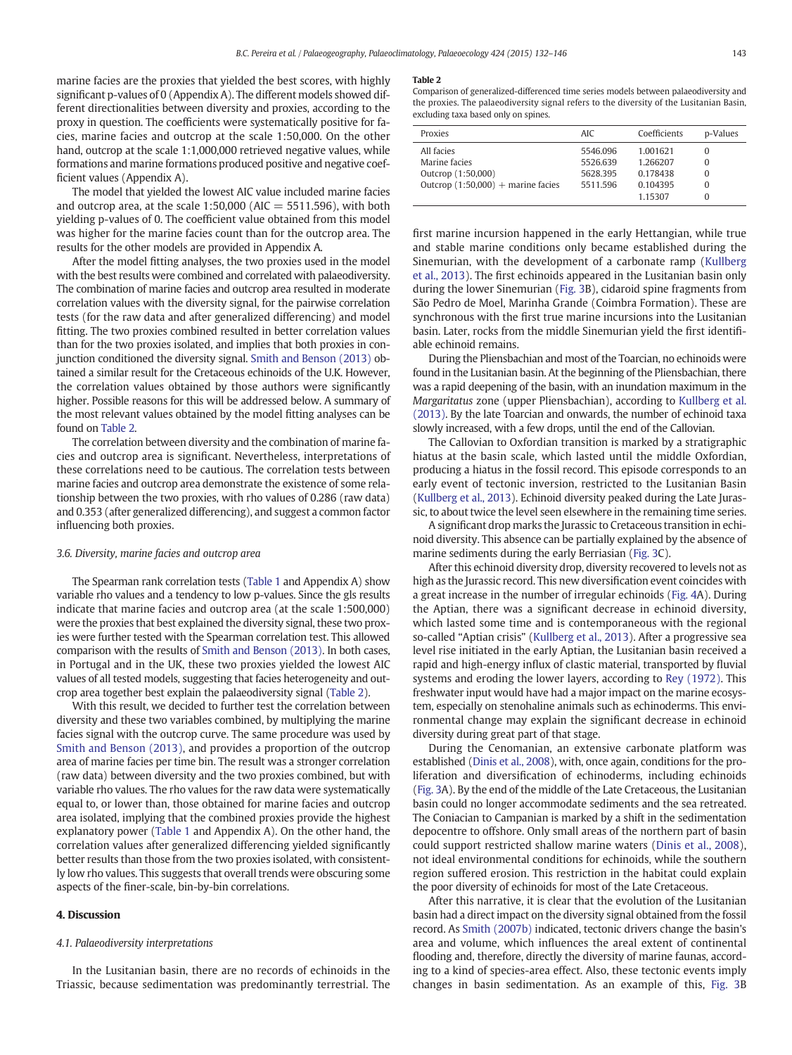marine facies are the proxies that yielded the best scores, with highly significant p-values of 0 (Appendix A). The different models showed different directionalities between diversity and proxies, according to the proxy in question. The coefficients were systematically positive for facies, marine facies and outcrop at the scale 1:50,000. On the other hand, outcrop at the scale 1:1,000,000 retrieved negative values, while formations and marine formations produced positive and negative coefficient values (Appendix A).

The model that yielded the lowest AIC value included marine facies and outcrop area, at the scale  $1:50,000$  (AIC = 5511.596), with both yielding p-values of 0. The coefficient value obtained from this model was higher for the marine facies count than for the outcrop area. The results for the other models are provided in Appendix A.

After the model fitting analyses, the two proxies used in the model with the best results were combined and correlated with palaeodiversity. The combination of marine facies and outcrop area resulted in moderate correlation values with the diversity signal, for the pairwise correlation tests (for the raw data and after generalized differencing) and model fitting. The two proxies combined resulted in better correlation values than for the two proxies isolated, and implies that both proxies in conjunction conditioned the diversity signal. [Smith and Benson \(2013\)](#page-14-0) obtained a similar result for the Cretaceous echinoids of the U.K. However, the correlation values obtained by those authors were significantly higher. Possible reasons for this will be addressed below. A summary of the most relevant values obtained by the model fitting analyses can be found on Table 2.

The correlation between diversity and the combination of marine facies and outcrop area is significant. Nevertheless, interpretations of these correlations need to be cautious. The correlation tests between marine facies and outcrop area demonstrate the existence of some relationship between the two proxies, with rho values of 0.286 (raw data) and 0.353 (after generalized differencing), and suggest a common factor influencing both proxies.

#### 3.6. Diversity, marine facies and outcrop area

The Spearman rank correlation tests [\(Table 1](#page-8-0) and Appendix A) show variable rho values and a tendency to low p-values. Since the gls results indicate that marine facies and outcrop area (at the scale 1:500,000) were the proxies that best explained the diversity signal, these two proxies were further tested with the Spearman correlation test. This allowed comparison with the results of [Smith and Benson \(2013\)](#page-14-0). In both cases, in Portugal and in the UK, these two proxies yielded the lowest AIC values of all tested models, suggesting that facies heterogeneity and outcrop area together best explain the palaeodiversity signal (Table 2).

With this result, we decided to further test the correlation between diversity and these two variables combined, by multiplying the marine facies signal with the outcrop curve. The same procedure was used by [Smith and Benson \(2013\),](#page-14-0) and provides a proportion of the outcrop area of marine facies per time bin. The result was a stronger correlation (raw data) between diversity and the two proxies combined, but with variable rho values. The rho values for the raw data were systematically equal to, or lower than, those obtained for marine facies and outcrop area isolated, implying that the combined proxies provide the highest explanatory power [\(Table 1](#page-8-0) and Appendix A). On the other hand, the correlation values after generalized differencing yielded significantly better results than those from the two proxies isolated, with consistently low rho values. This suggests that overall trends were obscuring some aspects of the finer-scale, bin-by-bin correlations.

# 4. Discussion

# 4.1. Palaeodiversity interpretations

In the Lusitanian basin, there are no records of echinoids in the Triassic, because sedimentation was predominantly terrestrial. The

#### Table 2

Comparison of generalized-differenced time series models between palaeodiversity and the proxies. The palaeodiversity signal refers to the diversity of the Lusitanian Basin, excluding taxa based only on spines.

| All facies<br>5546.096<br>1.001621<br>0<br>Marine facies<br>5526.639<br>1.266207<br>0 | Proxies            | AIC.     | Coefficients | p-Values |
|---------------------------------------------------------------------------------------|--------------------|----------|--------------|----------|
| Outcrop $(1:50,000)$ + marine facies<br>0.104395<br>5511.596<br>0<br>1.15307<br>0     | Outcrop (1:50,000) | 5628.395 | 0.178438     | 0        |

first marine incursion happened in the early Hettangian, while true and stable marine conditions only became established during the Sinemurian, with the development of a carbonate ramp [\(Kullberg](#page-13-0) [et al., 2013\)](#page-13-0). The first echinoids appeared in the Lusitanian basin only during the lower Sinemurian ([Fig. 3](#page-6-0)B), cidaroid spine fragments from São Pedro de Moel, Marinha Grande (Coimbra Formation). These are synchronous with the first true marine incursions into the Lusitanian basin. Later, rocks from the middle Sinemurian yield the first identifiable echinoid remains.

During the Pliensbachian and most of the Toarcian, no echinoids were found in the Lusitanian basin. At the beginning of the Pliensbachian, there was a rapid deepening of the basin, with an inundation maximum in the Margaritatus zone (upper Pliensbachian), according to [Kullberg et al.](#page-13-0) [\(2013\).](#page-13-0) By the late Toarcian and onwards, the number of echinoid taxa slowly increased, with a few drops, until the end of the Callovian.

The Callovian to Oxfordian transition is marked by a stratigraphic hiatus at the basin scale, which lasted until the middle Oxfordian, producing a hiatus in the fossil record. This episode corresponds to an early event of tectonic inversion, restricted to the Lusitanian Basin [\(Kullberg et al., 2013](#page-13-0)). Echinoid diversity peaked during the Late Jurassic, to about twice the level seen elsewhere in the remaining time series.

A significant drop marks the Jurassic to Cretaceous transition in echinoid diversity. This absence can be partially explained by the absence of marine sediments during the early Berriasian [\(Fig. 3C](#page-6-0)).

After this echinoid diversity drop, diversity recovered to levels not as high as the Jurassic record. This new diversification event coincides with a great increase in the number of irregular echinoids [\(Fig. 4](#page-7-0)A). During the Aptian, there was a significant decrease in echinoid diversity, which lasted some time and is contemporaneous with the regional so-called "Aptian crisis" [\(Kullberg et al., 2013\)](#page-13-0). After a progressive sea level rise initiated in the early Aptian, the Lusitanian basin received a rapid and high-energy influx of clastic material, transported by fluvial systems and eroding the lower layers, according to [Rey \(1972\)](#page-14-0). This freshwater input would have had a major impact on the marine ecosystem, especially on stenohaline animals such as echinoderms. This environmental change may explain the significant decrease in echinoid diversity during great part of that stage.

During the Cenomanian, an extensive carbonate platform was established ([Dinis et al., 2008\)](#page-13-0), with, once again, conditions for the proliferation and diversification of echinoderms, including echinoids [\(Fig. 3](#page-6-0)A). By the end of the middle of the Late Cretaceous, the Lusitanian basin could no longer accommodate sediments and the sea retreated. The Coniacian to Campanian is marked by a shift in the sedimentation depocentre to offshore. Only small areas of the northern part of basin could support restricted shallow marine waters ([Dinis et al., 2008](#page-13-0)), not ideal environmental conditions for echinoids, while the southern region suffered erosion. This restriction in the habitat could explain the poor diversity of echinoids for most of the Late Cretaceous.

After this narrative, it is clear that the evolution of the Lusitanian basin had a direct impact on the diversity signal obtained from the fossil record. As [Smith \(2007b\)](#page-14-0) indicated, tectonic drivers change the basin's area and volume, which influences the areal extent of continental flooding and, therefore, directly the diversity of marine faunas, according to a kind of species-area effect. Also, these tectonic events imply changes in basin sedimentation. As an example of this, [Fig. 3B](#page-6-0)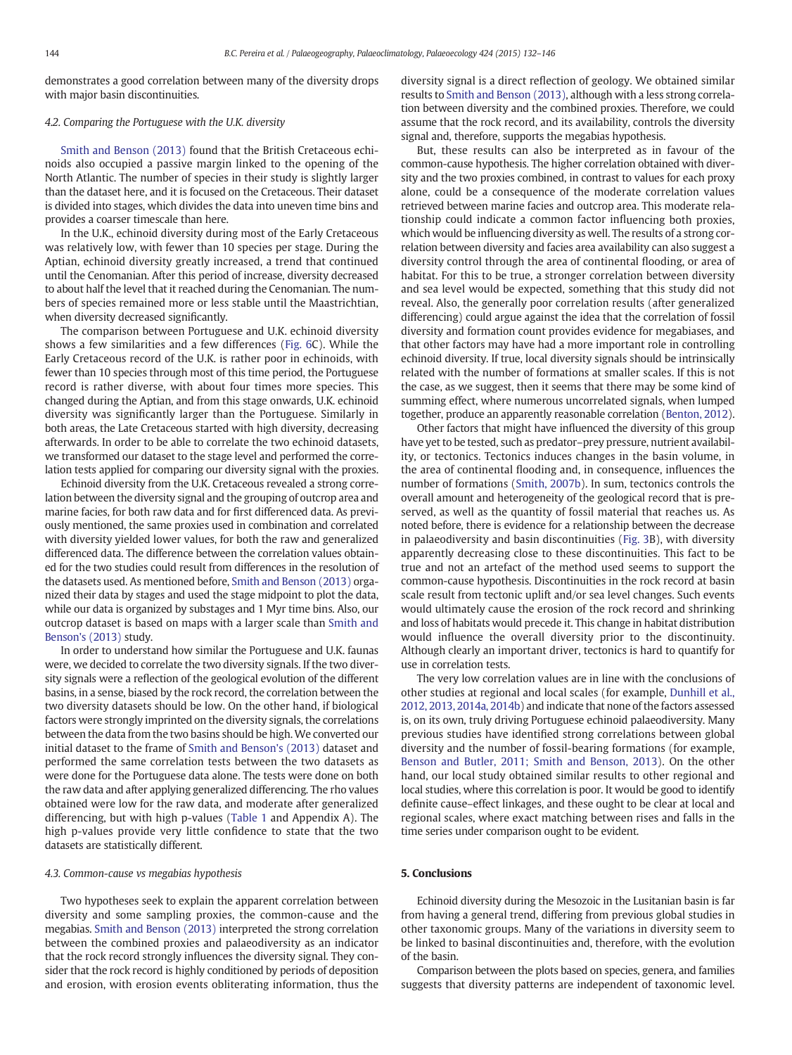demonstrates a good correlation between many of the diversity drops with major basin discontinuities.

# 4.2. Comparing the Portuguese with the U.K. diversity

[Smith and Benson \(2013\)](#page-14-0) found that the British Cretaceous echinoids also occupied a passive margin linked to the opening of the North Atlantic. The number of species in their study is slightly larger than the dataset here, and it is focused on the Cretaceous. Their dataset is divided into stages, which divides the data into uneven time bins and provides a coarser timescale than here.

In the U.K., echinoid diversity during most of the Early Cretaceous was relatively low, with fewer than 10 species per stage. During the Aptian, echinoid diversity greatly increased, a trend that continued until the Cenomanian. After this period of increase, diversity decreased to about half the level that it reached during the Cenomanian. The numbers of species remained more or less stable until the Maastrichtian, when diversity decreased significantly.

The comparison between Portuguese and U.K. echinoid diversity shows a few similarities and a few differences ([Fig. 6C](#page-9-0)). While the Early Cretaceous record of the U.K. is rather poor in echinoids, with fewer than 10 species through most of this time period, the Portuguese record is rather diverse, with about four times more species. This changed during the Aptian, and from this stage onwards, U.K. echinoid diversity was significantly larger than the Portuguese. Similarly in both areas, the Late Cretaceous started with high diversity, decreasing afterwards. In order to be able to correlate the two echinoid datasets, we transformed our dataset to the stage level and performed the correlation tests applied for comparing our diversity signal with the proxies.

Echinoid diversity from the U.K. Cretaceous revealed a strong correlation between the diversity signal and the grouping of outcrop area and marine facies, for both raw data and for first differenced data. As previously mentioned, the same proxies used in combination and correlated with diversity yielded lower values, for both the raw and generalized differenced data. The difference between the correlation values obtained for the two studies could result from differences in the resolution of the datasets used. As mentioned before, [Smith and Benson \(2013\)](#page-14-0) organized their data by stages and used the stage midpoint to plot the data, while our data is organized by substages and 1 Myr time bins. Also, our outcrop dataset is based on maps with a larger scale than [Smith and](#page-14-0) [Benson's \(2013\)](#page-14-0) study.

In order to understand how similar the Portuguese and U.K. faunas were, we decided to correlate the two diversity signals. If the two diversity signals were a reflection of the geological evolution of the different basins, in a sense, biased by the rock record, the correlation between the two diversity datasets should be low. On the other hand, if biological factors were strongly imprinted on the diversity signals, the correlations between the data from the two basins should be high.We converted our initial dataset to the frame of [Smith and Benson's \(2013\)](#page-14-0) dataset and performed the same correlation tests between the two datasets as were done for the Portuguese data alone. The tests were done on both the raw data and after applying generalized differencing. The rho values obtained were low for the raw data, and moderate after generalized differencing, but with high p-values ([Table 1](#page-8-0) and Appendix A). The high p-values provide very little confidence to state that the two datasets are statistically different.

#### 4.3. Common-cause vs megabias hypothesis

Two hypotheses seek to explain the apparent correlation between diversity and some sampling proxies, the common-cause and the megabias. [Smith and Benson \(2013\)](#page-14-0) interpreted the strong correlation between the combined proxies and palaeodiversity as an indicator that the rock record strongly influences the diversity signal. They consider that the rock record is highly conditioned by periods of deposition and erosion, with erosion events obliterating information, thus the diversity signal is a direct reflection of geology. We obtained similar results to [Smith and Benson \(2013\),](#page-14-0) although with a less strong correlation between diversity and the combined proxies. Therefore, we could assume that the rock record, and its availability, controls the diversity signal and, therefore, supports the megabias hypothesis.

But, these results can also be interpreted as in favour of the common-cause hypothesis. The higher correlation obtained with diversity and the two proxies combined, in contrast to values for each proxy alone, could be a consequence of the moderate correlation values retrieved between marine facies and outcrop area. This moderate relationship could indicate a common factor influencing both proxies, which would be influencing diversity as well. The results of a strong correlation between diversity and facies area availability can also suggest a diversity control through the area of continental flooding, or area of habitat. For this to be true, a stronger correlation between diversity and sea level would be expected, something that this study did not reveal. Also, the generally poor correlation results (after generalized differencing) could argue against the idea that the correlation of fossil diversity and formation count provides evidence for megabiases, and that other factors may have had a more important role in controlling echinoid diversity. If true, local diversity signals should be intrinsically related with the number of formations at smaller scales. If this is not the case, as we suggest, then it seems that there may be some kind of summing effect, where numerous uncorrelated signals, when lumped together, produce an apparently reasonable correlation [\(Benton, 2012\)](#page-13-0).

Other factors that might have influenced the diversity of this group have yet to be tested, such as predator–prey pressure, nutrient availability, or tectonics. Tectonics induces changes in the basin volume, in the area of continental flooding and, in consequence, influences the number of formations [\(Smith, 2007b\)](#page-14-0). In sum, tectonics controls the overall amount and heterogeneity of the geological record that is preserved, as well as the quantity of fossil material that reaches us. As noted before, there is evidence for a relationship between the decrease in palaeodiversity and basin discontinuities ([Fig. 3](#page-6-0)B), with diversity apparently decreasing close to these discontinuities. This fact to be true and not an artefact of the method used seems to support the common-cause hypothesis. Discontinuities in the rock record at basin scale result from tectonic uplift and/or sea level changes. Such events would ultimately cause the erosion of the rock record and shrinking and loss of habitats would precede it. This change in habitat distribution would influence the overall diversity prior to the discontinuity. Although clearly an important driver, tectonics is hard to quantify for use in correlation tests.

The very low correlation values are in line with the conclusions of other studies at regional and local scales (for example, [Dunhill et al.,](#page-13-0) [2012, 2013, 2014a, 2014b](#page-13-0)) and indicate that none of the factors assessed is, on its own, truly driving Portuguese echinoid palaeodiversity. Many previous studies have identified strong correlations between global diversity and the number of fossil-bearing formations (for example, [Benson and Butler, 2011; Smith and Benson, 2013\)](#page-13-0). On the other hand, our local study obtained similar results to other regional and local studies, where this correlation is poor. It would be good to identify definite cause–effect linkages, and these ought to be clear at local and regional scales, where exact matching between rises and falls in the time series under comparison ought to be evident.

# 5. Conclusions

Echinoid diversity during the Mesozoic in the Lusitanian basin is far from having a general trend, differing from previous global studies in other taxonomic groups. Many of the variations in diversity seem to be linked to basinal discontinuities and, therefore, with the evolution of the basin.

Comparison between the plots based on species, genera, and families suggests that diversity patterns are independent of taxonomic level.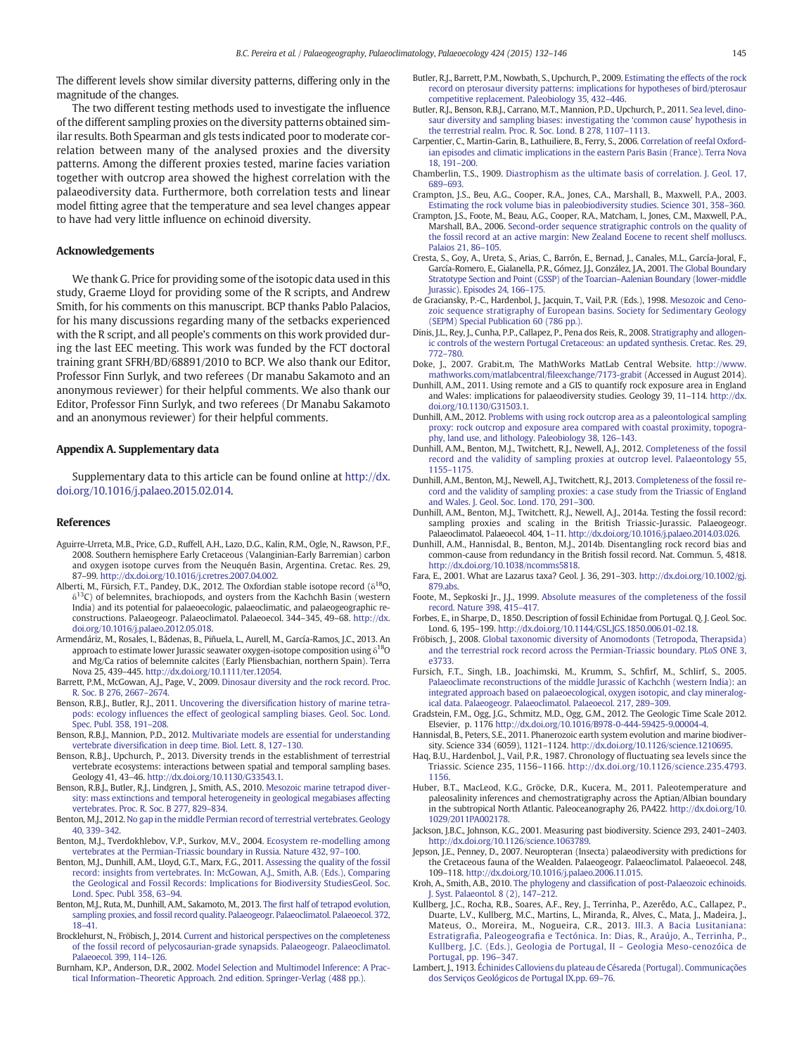<span id="page-13-0"></span>The different levels show similar diversity patterns, differing only in the magnitude of the changes.

The two different testing methods used to investigate the influence of the different sampling proxies on the diversity patterns obtained similar results. Both Spearman and gls tests indicated poor to moderate correlation between many of the analysed proxies and the diversity patterns. Among the different proxies tested, marine facies variation together with outcrop area showed the highest correlation with the palaeodiversity data. Furthermore, both correlation tests and linear model fitting agree that the temperature and sea level changes appear to have had very little influence on echinoid diversity.

# Acknowledgements

We thank G. Price for providing some of the isotopic data used in this study, Graeme Lloyd for providing some of the R scripts, and Andrew Smith, for his comments on this manuscript. BCP thanks Pablo Palacios, for his many discussions regarding many of the setbacks experienced with the R script, and all people's comments on this work provided during the last EEC meeting. This work was funded by the FCT doctoral training grant SFRH/BD/68891/2010 to BCP. We also thank our Editor, Professor Finn Surlyk, and two referees (Dr manabu Sakamoto and an anonymous reviewer) for their helpful comments. We also thank our Editor, Professor Finn Surlyk, and two referees (Dr Manabu Sakamoto and an anonymous reviewer) for their helpful comments.

# Appendix A. Supplementary data

Supplementary data to this article can be found online at [http://dx.](http://dx.doi.org/10.1016/j.palaeo.2015.02.014) [doi.org/10.1016/j.palaeo.2015.02.014.](http://dx.doi.org/10.1016/j.palaeo.2015.02.014)

# References

- Aguirre-Urreta, M.B., Price, G.D., Ruffell, A.H., Lazo, D.G., Kalin, R.M., Ogle, N., Rawson, P.F., 2008. Southern hemisphere Early Cretaceous (Valanginian-Early Barremian) carbon and oxygen isotope curves from the Neuquén Basin, Argentina. Cretac. Res. 29, 87–99. http://dx.doi.org[/10.1016/j.cretres.2007.04.002.](http://dx.doi.org/10.1016/j.cretres.2007.04.002)
- Alberti, M., Fürsich, F.T., Pandey, D.K., 2012. The Oxfordian stable isotope record ( $\delta^{18}$ O,  $\delta^{13}$ C) of belemnites, brachiopods, and oysters from the Kachchh Basin (western India) and its potential for palaeoecologic, palaeoclimatic, and palaeogeographic reconstructions. Palaeogeogr. Palaeoclimatol. Palaeoecol. 344–345, 49–68. http://dx. doi.org[/10.1016/j.palaeo.2012.05.018](http://dx.doi.org/10.1016/j.palaeo.2012.05.018).
- Armendáriz, M., Rosales, I., Bádenas, B., Piñuela, L., Aurell, M., García-Ramos, J.C., 2013. An approach to estimate lower Jurassic seawater oxygen-isotope composition using δ18O and Mg/Ca ratios of belemnite calcites (Early Pliensbachian, northern Spain). Terra Nova 25, 439–445. http://dx.doi.org[/10.1111/ter.12054](http://dx.doi.org/10.1111/ter.12054).
- Barrett, P.M., McGowan, A.J., Page, V., 2009. [Dinosaur diversity and the rock record. Proc.](http://refhub.elsevier.com/S0031-0182(15)00070-X/rf0025) [R. Soc. B 276, 2667](http://refhub.elsevier.com/S0031-0182(15)00070-X/rf0025)–2674.
- Benson, R.B.J., Butler, R.J., 2011. Uncovering the diversifi[cation history of marine tetra](http://refhub.elsevier.com/S0031-0182(15)00070-X/rf0030)pods: ecology infl[uences the effect of geological sampling biases. Geol. Soc. Lond.](http://refhub.elsevier.com/S0031-0182(15)00070-X/rf0030) [Spec. Publ. 358, 191](http://refhub.elsevier.com/S0031-0182(15)00070-X/rf0030)–208.
- Benson, R.B.J., Mannion, P.D., 2012. [Multivariate models are essential for understanding](http://refhub.elsevier.com/S0031-0182(15)00070-X/rf0040) vertebrate diversifi[cation in deep time. Biol. Lett. 8, 127](http://refhub.elsevier.com/S0031-0182(15)00070-X/rf0040)–130.
- Benson, R.B.J., Upchurch, P., 2013. Diversity trends in the establishment of terrestrial vertebrate ecosystems: interactions between spatial and temporal sampling bases. Geology 41, 43–46. http://dx.doi.org/[10.1130/G33543.1.](http://dx.doi.org/10.1130/G33543.1)
- Benson, R.B.J., Butler, R.J., Lindgren, J., Smith, A.S., 2010. [Mesozoic marine tetrapod diver](http://refhub.elsevier.com/S0031-0182(15)00070-X/rf0035)[sity: mass extinctions and temporal heterogeneity in geological megabiases affecting](http://refhub.elsevier.com/S0031-0182(15)00070-X/rf0035) [vertebrates. Proc. R. Soc. B 277, 829](http://refhub.elsevier.com/S0031-0182(15)00070-X/rf0035)–834.
- Benton, M.J., 2012. [No gap in the middle Permian record of terrestrial vertebrates. Geology](http://refhub.elsevier.com/S0031-0182(15)00070-X/rf0050) [40, 339](http://refhub.elsevier.com/S0031-0182(15)00070-X/rf0050)–342.
- Benton, M.J., Tverdokhlebov, V.P., Surkov, M.V., 2004. [Ecosystem re-modelling among](http://refhub.elsevier.com/S0031-0182(15)00070-X/rf0065) [vertebrates at the Permian-Triassic boundary in Russia. Nature 432, 97](http://refhub.elsevier.com/S0031-0182(15)00070-X/rf0065)–100.
- Benton, M.J., Dunhill, A.M., Lloyd, G.T., Marx, F.G., 2011. [Assessing the quality of the fossil](http://refhub.elsevier.com/S0031-0182(15)00070-X/rf0445) [record: insights from vertebrates. In: McGowan, A.J., Smith, A.B. \(Eds.\), Comparing](http://refhub.elsevier.com/S0031-0182(15)00070-X/rf0445) [the Geological and Fossil Records: Implications for Biodiversity StudiesGeol. Soc.](http://refhub.elsevier.com/S0031-0182(15)00070-X/rf0445) [Lond. Spec. Publ. 358, 63](http://refhub.elsevier.com/S0031-0182(15)00070-X/rf0445)–94.
- Benton, M.J., Ruta, M., Dunhill, A.M., Sakamoto, M., 2013. The fi[rst half of tetrapod evolution,](http://refhub.elsevier.com/S0031-0182(15)00070-X/rf0060) [sampling proxies, and fossil record quality. Palaeogeogr. Palaeoclimatol. Palaeoecol. 372,](http://refhub.elsevier.com/S0031-0182(15)00070-X/rf0060)  $18 - 41$  $18 - 41$
- Brocklehurst, N., Fröbisch, J., 2014. [Current and historical perspectives on the completeness](http://refhub.elsevier.com/S0031-0182(15)00070-X/rf0070) [of the fossil record of pelycosaurian-grade synapsids. Palaeogeogr. Palaeoclimatol.](http://refhub.elsevier.com/S0031-0182(15)00070-X/rf0070) [Palaeoecol. 399, 114](http://refhub.elsevier.com/S0031-0182(15)00070-X/rf0070)–126.
- Burnham, K.P., Anderson, D.R., 2002. [Model Selection and Multimodel Inference: A Prac](http://refhub.elsevier.com/S0031-0182(15)00070-X/rf0450)tical Information–[Theoretic Approach. 2nd edition. Springer-Verlag \(488 pp.\).](http://refhub.elsevier.com/S0031-0182(15)00070-X/rf0450)
- Butler, R.J., Barrett, P.M., Nowbath, S., Upchurch, P., 2009. [Estimating the effects of the rock](http://refhub.elsevier.com/S0031-0182(15)00070-X/rf0075) [record on pterosaur diversity patterns: implications for hypotheses of bird/pterosaur](http://refhub.elsevier.com/S0031-0182(15)00070-X/rf0075) [competitive replacement. Paleobiology 35, 432](http://refhub.elsevier.com/S0031-0182(15)00070-X/rf0075)–446.
- Butler, R.J., Benson, R.B.J., Carrano, M.T., Mannion, P.D., Upchurch, P., 2011. [Sea level, dino](http://refhub.elsevier.com/S0031-0182(15)00070-X/rf0080)[saur diversity and sampling biases: investigating the](http://refhub.elsevier.com/S0031-0182(15)00070-X/rf0080) 'common cause' hypothesis in [the terrestrial realm. Proc. R. Soc. Lond. B 278, 1107](http://refhub.elsevier.com/S0031-0182(15)00070-X/rf0080)–1113.
- Carpentier, C., Martin-Garin, B., Lathuiliere, B., Ferry, S., 2006. [Correlation of reefal Oxford](http://refhub.elsevier.com/S0031-0182(15)00070-X/rf0085)[ian episodes and climatic implications in the eastern Paris Basin \(France\). Terra Nova](http://refhub.elsevier.com/S0031-0182(15)00070-X/rf0085) [18, 191](http://refhub.elsevier.com/S0031-0182(15)00070-X/rf0085)–200.
- Chamberlin, T.S., 1909. [Diastrophism as the ultimate basis of correlation. J. Geol. 17,](http://refhub.elsevier.com/S0031-0182(15)00070-X/rf0090) [689](http://refhub.elsevier.com/S0031-0182(15)00070-X/rf0090)–693.
- Crampton, J.S., Beu, A.G., Cooper, R.A., Jones, C.A., Marshall, B., Maxwell, P.A., 2003. [Estimating the rock volume bias in paleobiodiversity studies. Science 301, 358](http://refhub.elsevier.com/S0031-0182(15)00070-X/rf0100)–360.
- Crampton, J.S., Foote, M., Beau, A.G., Cooper, R.A., Matcham, I., Jones, C.M., Maxwell, P.A., Marshall, B.A., 2006. [Second-order sequence stratigraphic controls on the quality of](http://refhub.elsevier.com/S0031-0182(15)00070-X/rf0105) [the fossil record at an active margin: New Zealand Eocene to recent shelf molluscs.](http://refhub.elsevier.com/S0031-0182(15)00070-X/rf0105) [Palaios 21, 86](http://refhub.elsevier.com/S0031-0182(15)00070-X/rf0105)–105.
- Cresta, S., Goy, A., Ureta, S., Arias, C., Barrón, E., Bernad, J., Canales, M.L., García-Joral, F., García-Romero, E., Gialanella, P.R., Gómez, J.J., González, J.A., 2001. [The Global Boundary](http://refhub.elsevier.com/S0031-0182(15)00070-X/rf0110) [Stratotype Section and Point \(GSSP\) of the Toarcian](http://refhub.elsevier.com/S0031-0182(15)00070-X/rf0110)–Aalenian Boundary (lower-middle [Jurassic\). Episodes 24, 166](http://refhub.elsevier.com/S0031-0182(15)00070-X/rf0110)–175.
- de Graciansky, P.-C., Hardenbol, J., Jacquin, T., Vail, P.R. (Eds.), 1998. [Mesozoic and Ceno](http://refhub.elsevier.com/S0031-0182(15)00070-X/rf0455)[zoic sequence stratigraphy of European basins. Society for Sedimentary Geology](http://refhub.elsevier.com/S0031-0182(15)00070-X/rf0455) [\(SEPM\) Special Publication 60 \(786 pp.\).](http://refhub.elsevier.com/S0031-0182(15)00070-X/rf0455)
- Dinis, J.L., Rey, J., Cunha, P.P., Callapez, P., Pena dos Reis, R., 2008. [Stratigraphy and allogen](http://refhub.elsevier.com/S0031-0182(15)00070-X/rf0120)[ic controls of the western Portugal Cretaceous: an updated synthesis. Cretac. Res. 29,](http://refhub.elsevier.com/S0031-0182(15)00070-X/rf0120) [772](http://refhub.elsevier.com/S0031-0182(15)00070-X/rf0120)–780.
- Doke, J., 2007. Grabit.m, The MathWorks MatLab Central Website. [http://www.](http://www.mathworks.com/matlabcentral/fileexchange/7173-grabit) [mathworks.com/matlabcentral/](http://www.mathworks.com/matlabcentral/fileexchange/7173-grabit)fileexchange/7173-grabit (Accessed in August 2014).
- Dunhill, A.M., 2011. Using remote and a GIS to quantify rock exposure area in England and Wales: implications for palaeodiversity studies. Geology 39, 11–114. http://dx. doi.org[/10.1130/G31503.1](http://dx.doi.org/10.1130/G31503.1).
- Dunhill, A.M., 2012. [Problems with using rock outcrop area as a paleontological sampling](http://refhub.elsevier.com/S0031-0182(15)00070-X/rf0130) [proxy: rock outcrop and exposure area compared with coastal proximity, topogra](http://refhub.elsevier.com/S0031-0182(15)00070-X/rf0130)[phy, land use, and lithology. Paleobiology 38, 126](http://refhub.elsevier.com/S0031-0182(15)00070-X/rf0130)–143.
- Dunhill, A.M., Benton, M.J., Twitchett, R.J., Newell, A.J., 2012. [Completeness of the fossil](http://refhub.elsevier.com/S0031-0182(15)00070-X/rf0140) [record and the validity of sampling proxies at outcrop level. Palaeontology 55,](http://refhub.elsevier.com/S0031-0182(15)00070-X/rf0140) [1155](http://refhub.elsevier.com/S0031-0182(15)00070-X/rf0140)–1175.
- Dunhill, A.M., Benton, M.J., Newell, A.J., Twitchett, R.J., 2013. [Completeness of the fossil re](http://refhub.elsevier.com/S0031-0182(15)00070-X/rf0135)[cord and the validity of sampling proxies: a case study from the Triassic of England](http://refhub.elsevier.com/S0031-0182(15)00070-X/rf0135) [and Wales. J. Geol. Soc. Lond. 170, 291](http://refhub.elsevier.com/S0031-0182(15)00070-X/rf0135)–300.
- Dunhill, A.M., Benton, M.J., Twitchett, R.J., Newell, A.J., 2014a. Testing the fossil record: sampling proxies and scaling in the British Triassic-Jurassic. Palaeogeogr. Palaeoclimatol. Palaeoecol. 404, 1–11. http://dx.doi.org[/10.1016/j.palaeo.2014.03.026](http://dx.doi.org/10.1016/j.palaeo.2014.03.026).
- Dunhill, A.M., Hannisdal, B., Benton, M.J., 2014b. Disentangling rock record bias and common-cause from redundancy in the British fossil record. Nat. Commun. 5, 4818. http://dx.doi.org[/10.1038/ncomms5818.](http://dx.doi.org/10.1038/ncomms5818)
- Fara, E., 2001. What are Lazarus taxa? Geol. J. 36, 291–303. http://dx.doi.org/[10.1002/gj.](http://dx.doi.org/10.1002/gj.879.abs) [879.abs.](http://dx.doi.org/10.1002/gj.879.abs)
- Foote, M., Sepkoski Jr., J.J., 1999. [Absolute measures of the completeness of the fossil](http://refhub.elsevier.com/S0031-0182(15)00070-X/rf0160) [record. Nature 398, 415](http://refhub.elsevier.com/S0031-0182(15)00070-X/rf0160)–417.
- Forbes, E., in Sharpe, D., 1850. Description of fossil Echinidae from Portugal. Q. J. Geol. Soc. Lond. 6, 195–199. http://dx.doi.org/10.1144/GSL.JGS.1850.006.01-02.18.
- Fröbisch, J., 2008. [Global taxonomic diversity of Anomodonts \(Tetropoda, Therapsida\)](http://refhub.elsevier.com/S0031-0182(15)00070-X/rf0170) [and the terrestrial rock record across the Permian-Triassic boundary. PLoS ONE 3,](http://refhub.elsevier.com/S0031-0182(15)00070-X/rf0170) [e3733.](http://refhub.elsevier.com/S0031-0182(15)00070-X/rf0170)
- Fursich, F.T., Singh, I.B., Joachimski, M., Krumm, S., Schfirf, M., Schlirf, S., 2005. [Palaeoclimate reconstructions of the middle Jurassic of Kachchh \(western India\): an](http://refhub.elsevier.com/S0031-0182(15)00070-X/rf0175) [integrated approach based on palaeoecological, oxygen isotopic, and clay mineralog](http://refhub.elsevier.com/S0031-0182(15)00070-X/rf0175)[ical data. Palaeogeogr. Palaeoclimatol. Palaeoecol. 217, 289](http://refhub.elsevier.com/S0031-0182(15)00070-X/rf0175)–309.
- Gradstein, F.M., Ogg, J.G., Schmitz, M.D., Ogg, G.M., 2012. The Geologic Time Scale 2012. Elsevier, p. 1176 http://dx.doi.org/[10.1016/B978-0-444-59425-9.00004-4](http://dx.doi.org/10.1016/B978-0-444-59425-9.00004-4).
- Hannisdal, B., Peters, S.E., 2011. Phanerozoic earth system evolution and marine biodiversity. Science 334 (6059), 1121–1124. http://dx.doi.org[/10.1126/science.1210695.](http://dx.doi.org/10.1126/science.1210695)
- Haq, B.U., Hardenbol, J., Vail, P.R., 1987. Chronology of fluctuating sea levels since the Triassic. Science 235, 1156–1166. http://dx.doi.org/[10.1126/science.235.4793.](http://dx.doi.org/10.1126/science.235.4793.1156) [1156](http://dx.doi.org/10.1126/science.235.4793.1156).
- Huber, B.T., MacLeod, K.G., Gröcke, D.R., Kucera, M., 2011. Paleotemperature and paleosalinity inferences and chemostratigraphy across the Aptian/Albian boundary in the subtropical North Atlantic. Paleoceanography 26, PA422. http://dx.doi.org[/10.](http://dx.doi.org/10.1029/2011PA002178) [1029/2011PA002178](http://dx.doi.org/10.1029/2011PA002178).
- Jackson, J.B.C., Johnson, K.G., 2001. Measuring past biodiversity. Science 293, 2401–2403. http://dx.doi.org[/10.1126/science.1063789.](http://dx.doi.org/10.1126/science.1063789)
- Jepson, J.E., Penney, D., 2007. Neuropteran (Insecta) palaeodiversity with predictions for the Cretaceous fauna of the Wealden. Palaeogeogr. Palaeoclimatol. Palaeoecol. 248, 109–118. http://dx.doi.org[/10.1016/j.palaeo.2006.11.015](http://dx.doi.org/10.1016/j.palaeo.2006.11.015).
- Kroh, A., Smith, A.B., 2010. The phylogeny and classifi[cation of post-Palaeozoic echinoids.](http://refhub.elsevier.com/S0031-0182(15)00070-X/rf0215) [J. Syst. Palaeontol. 8 \(2\), 147](http://refhub.elsevier.com/S0031-0182(15)00070-X/rf0215)–212.
- Kullberg, J.C., Rocha, R.B., Soares, A.F., Rey, J., Terrinha, P., Azerêdo, A.C., Callapez, P., Duarte, L.V., Kullberg, M.C., Martins, L., Miranda, R., Alves, C., Mata, J., Madeira, J., Mateus, O., Moreira, M., Nogueira, C.R., 2013. [III.3. A Bacia Lusitaniana:](http://refhub.elsevier.com/S0031-0182(15)00070-X/rf0470) Estratigrafia, Paleogeografi[a e Tectónica. In: Dias, R., Araújo, A., Terrinha, P.,](http://refhub.elsevier.com/S0031-0182(15)00070-X/rf0470) [Kullberg, J.C. \(Eds.\), Geologia de Portugal, II](http://refhub.elsevier.com/S0031-0182(15)00070-X/rf0470) – Geologia Meso-cenozóica de [Portugal, pp. 196](http://refhub.elsevier.com/S0031-0182(15)00070-X/rf0470)–347.
- Lambert, J., 1913. [Échinides Calloviens du plateau de Césareda \(Portugal\). Communicações](http://refhub.elsevier.com/S0031-0182(15)00070-X/rf0475) [dos Serviços Geológicos de Portugal IX.pp. 69](http://refhub.elsevier.com/S0031-0182(15)00070-X/rf0475)–76.